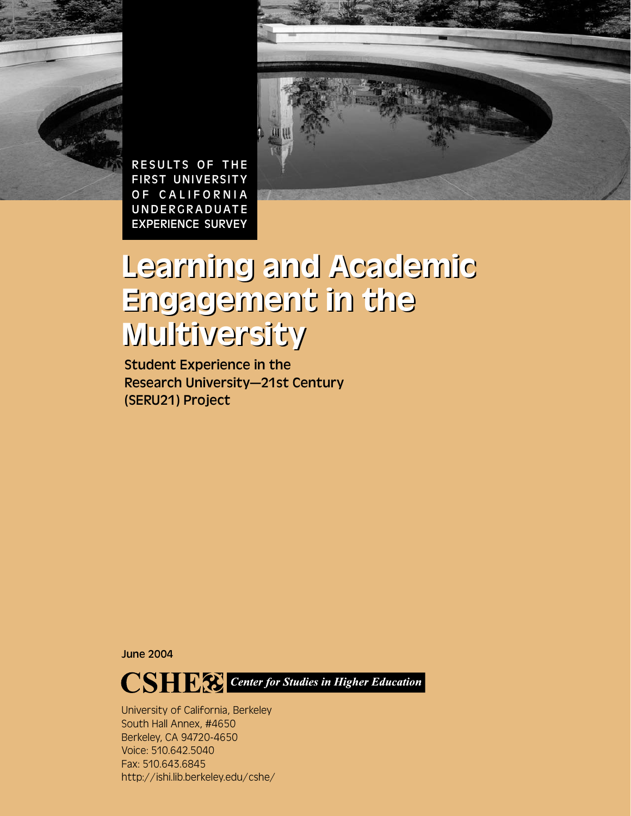



RESULTS OF THE FIRST UNIVERSITY OF CALIFORNIA UNDERGRADUATE EXPERIENCE SURVEY

# Learning and Academic Learning and Academic Engagement in the Engagement in the Multiversity Multiversity

Student Experience in the Research University—21st Century (SERU21) Project

June 2004



University of California, Berkeley South Hall Annex, #4650 Berkeley, CA 94720-4650 Voice: 510.642.5040 Fax: 510.643.6845 http://ishi.lib.berkeley.edu/cshe/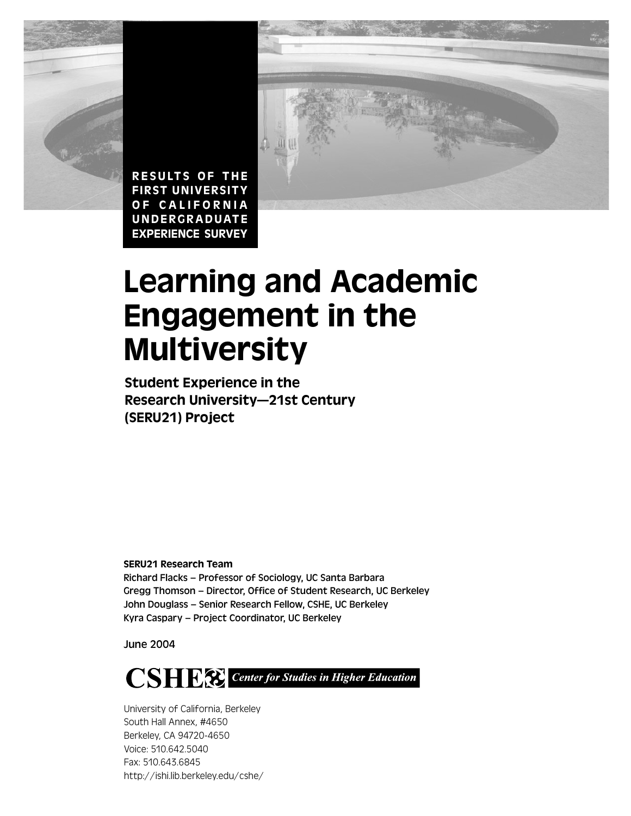



# Learning and Academic Engagement in the Multiversity

Student Experience in the Research University—21st Century (SERU21) Project

SERU21 Research Team

Richard Flacks – Professor of Sociology, UC Santa Barbara Gregg Thomson – Director, Office of Student Research, UC Berkeley John Douglass – Senior Research Fellow, CSHE, UC Berkeley Kyra Caspary – Project Coordinator, UC Berkeley

June 2004



University of California, Berkeley South Hall Annex, #4650 Berkeley, CA 94720-4650 Voice: 510.642.5040 Fax: 510.643.6845 http://ishi.lib.berkeley.edu/cshe/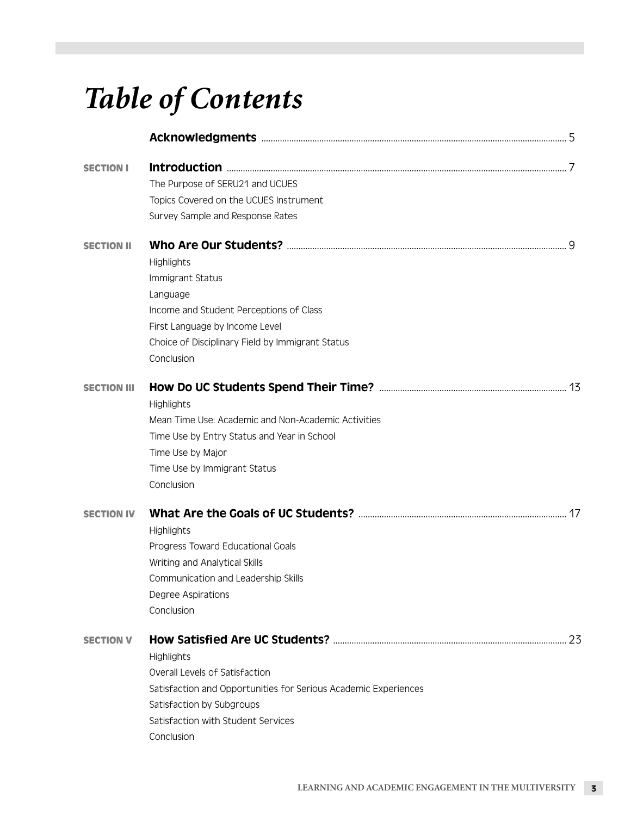# *Table of Contents*

| Topics Covered on the UCUES Instrument                          |                                 |
|-----------------------------------------------------------------|---------------------------------|
| Survey Sample and Response Rates                                |                                 |
|                                                                 |                                 |
| Highlights                                                      |                                 |
| Immigrant Status                                                |                                 |
| Language                                                        |                                 |
| Income and Student Perceptions of Class                         |                                 |
| First Language by Income Level                                  |                                 |
| Choice of Disciplinary Field by Immigrant Status                |                                 |
| Conclusion                                                      |                                 |
|                                                                 |                                 |
| Highlights                                                      |                                 |
| Mean Time Use: Academic and Non-Academic Activities             |                                 |
| Time Use by Entry Status and Year in School                     |                                 |
| Time Use by Major                                               |                                 |
| Time Use by Immigrant Status                                    |                                 |
| Conclusion                                                      |                                 |
|                                                                 |                                 |
| Highlights                                                      |                                 |
| Progress Toward Educational Goals                               |                                 |
| Writing and Analytical Skills                                   |                                 |
| Communication and Leadership Skills                             |                                 |
| Degree Aspirations                                              |                                 |
| Conclusion                                                      |                                 |
|                                                                 | 23                              |
| <b>Highlights</b>                                               |                                 |
| Overall Levels of Satisfaction                                  |                                 |
| Satisfaction and Opportunities for Serious Academic Experiences |                                 |
| Satisfaction by Subgroups                                       |                                 |
| Satisfaction with Student Services                              |                                 |
| Conclusion                                                      |                                 |
|                                                                 | The Purpose of SERU21 and UCUES |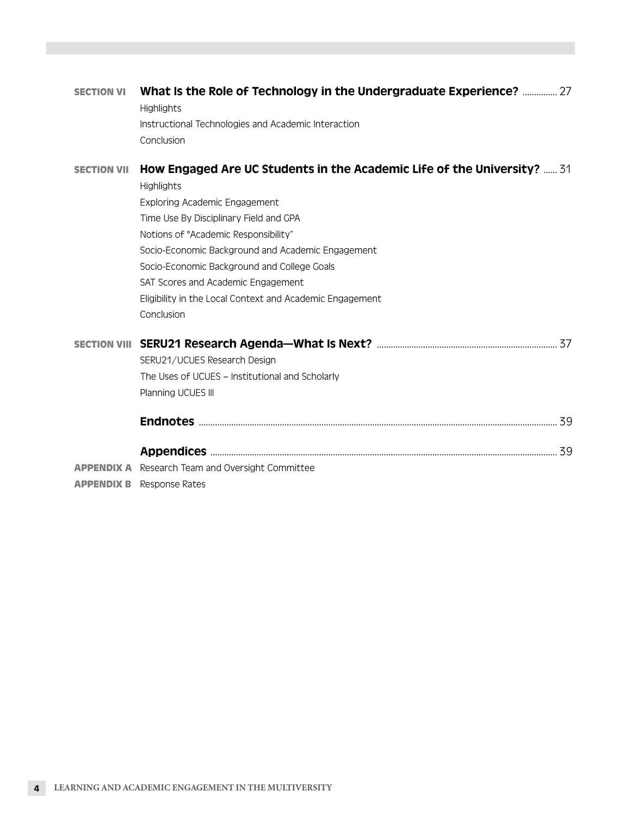| <b>SECTION VI</b>  | What Is the Role of Technology in the Undergraduate Experience?  27<br><b>Highlights</b> |
|--------------------|------------------------------------------------------------------------------------------|
|                    | Instructional Technologies and Academic Interaction                                      |
|                    | Conclusion                                                                               |
| <b>SECTION VII</b> | How Engaged Are UC Students in the Academic Life of the University?  31                  |
|                    | <b>Highlights</b>                                                                        |
|                    | Exploring Academic Engagement                                                            |
|                    | Time Use By Disciplinary Field and GPA                                                   |
|                    | Notions of "Academic Responsibility"                                                     |
|                    | Socio-Economic Background and Academic Engagement                                        |
|                    | Socio-Economic Background and College Goals                                              |
|                    | SAT Scores and Academic Engagement                                                       |
|                    | Eligibility in the Local Context and Academic Engagement                                 |
|                    | Conclusion                                                                               |
|                    |                                                                                          |
|                    | SERU21/UCUES Research Design                                                             |
|                    | The Uses of UCUES - Institutional and Scholarly                                          |
|                    | Planning UCUES III                                                                       |
|                    |                                                                                          |
|                    | 39                                                                                       |
|                    | <b>APPENDIX A</b> Research Team and Oversight Committee                                  |

**APPENDIX B** Response Rates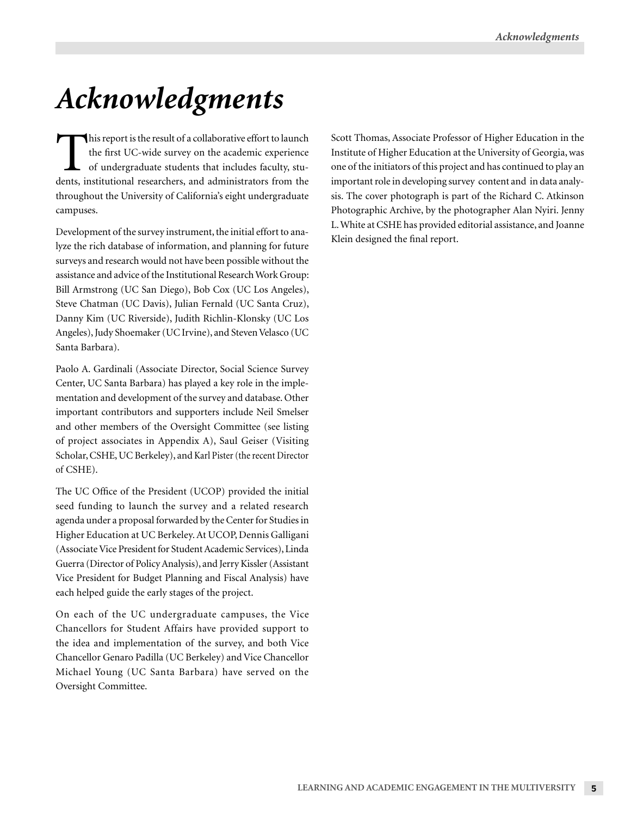# *Acknowledgments*

This report is the result of a collaborative effort to launch the first UC-wide survey on the academic experience of undergraduate students that includes faculty, students, institutional researchers, and administrators from the throughout the University of California's eight undergraduate campuses.

Development of the survey instrument, the initial effort to analyze the rich database of information, and planning for future surveys and research would not have been possible without the assistance and advice of the Institutional Research Work Group: Bill Armstrong (UC San Diego), Bob Cox (UC Los Angeles), Steve Chatman (UC Davis), Julian Fernald (UC Santa Cruz), Danny Kim (UC Riverside), Judith Richlin-Klonsky (UC Los Angeles), Judy Shoemaker (UC Irvine), and Steven Velasco (UC Santa Barbara).

Paolo A. Gardinali (Associate Director, Social Science Survey Center, UC Santa Barbara) has played a key role in the implementation and development of the survey and database. Other important contributors and supporters include Neil Smelser and other members of the Oversight Committee (see listing of project associates in Appendix A), Saul Geiser (Visiting Scholar, CSHE, UC Berkeley), and Karl Pister (the recent Director of CSHE).

The UC Office of the President (UCOP) provided the initial seed funding to launch the survey and a related research agenda under a proposal forwarded by the Center for Studies in Higher Education at UC Berkeley. At UCOP, Dennis Galligani (Associate Vice President for Student Academic Services), Linda Guerra (Director of Policy Analysis), and Jerry Kissler (Assistant Vice President for Budget Planning and Fiscal Analysis) have each helped guide the early stages of the project.

On each of the UC undergraduate campuses, the Vice Chancellors for Student Affairs have provided support to the idea and implementation of the survey, and both Vice Chancellor Genaro Padilla (UC Berkeley) and Vice Chancellor Michael Young (UC Santa Barbara) have served on the Oversight Committee.

Scott Thomas, Associate Professor of Higher Education in the Institute of Higher Education at the University of Georgia, was one of the initiators of this project and has continued to play an important role in developing survey content and in data analysis. The cover photograph is part of the Richard C. Atkinson Photographic Archive, by the photographer Alan Nyiri. Jenny L. White at CSHE has provided editorial assistance, and Joanne Klein designed the final report.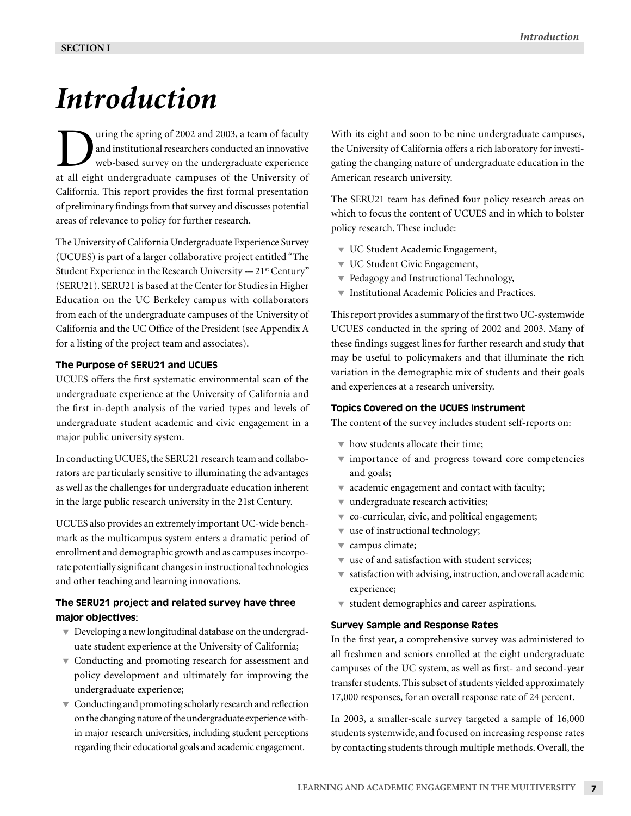# *Introduction*

Turing the spring of 2002 and 2003, a team of faculty<br>and institutional researchers conducted an innovative<br>web-based survey on the undergraduate experience<br>at all eight undergraduate campuses of the University of and institutional researchers conducted an innovative web-based survey on the undergraduate experience at all eight undergraduate campuses of the University of California. This report provides the first formal presentation of preliminary findings from that survey and discusses potential areas of relevance to policy for further research.

The University of California Undergraduate Experience Survey (UCUES) is part of a larger collaborative project entitled "The Student Experience in the Research University -- 21<sup>st</sup> Century" (SERU21). SERU21 is based at the Center for Studies in Higher Education on the UC Berkeley campus with collaborators from each of the undergraduate campuses of the University of California and the UC Office of the President (see Appendix A for a listing of the project team and associates).

### The Purpose of SERU21 and UCUES

UCUES offers the first systematic environmental scan of the undergraduate experience at the University of California and the first in-depth analysis of the varied types and levels of undergraduate student academic and civic engagement in a major public university system.

In conducting UCUES, the SERU21 research team and collaborators are particularly sensitive to illuminating the advantages as well as the challenges for undergraduate education inherent in the large public research university in the 21st Century.

UCUES also provides an extremely important UC-wide benchmark as the multicampus system enters a dramatic period of enrollment and demographic growth and as campuses incorporate potentially significant changes in instructional technologies and other teaching and learning innovations.

# The SERU21 project and related survey have three major objectives:

- $\blacktriangledown$  Developing a new longitudinal database on the undergraduate student experience at the University of California;
- $\blacktriangledown$  Conducting and promoting research for assessment and policy development and ultimately for improving the undergraduate experience;
- $\blacktriangledown$  Conducting and promoting scholarly research and reflection on the changing nature of the undergraduate experience within major research universities, including student perceptions regarding their educational goals and academic engagement.

With its eight and soon to be nine undergraduate campuses, the University of California offers a rich laboratory for investigating the changing nature of undergraduate education in the American research university.

The SERU21 team has defined four policy research areas on which to focus the content of UCUES and in which to bolster policy research. These include:

- **V UC Student Academic Engagement,**
- UC Student Civic Engagement,
- ▼ Pedagogy and Instructional Technology,
- Institutional Academic Policies and Practices.

This report provides a summary of the first two UC-systemwide UCUES conducted in the spring of 2002 and 2003. Many of these findings suggest lines for further research and study that may be useful to policymakers and that illuminate the rich variation in the demographic mix of students and their goals and experiences at a research university.

# Topics Covered on the UCUES Instrument

The content of the survey includes student self-reports on:

- $\bullet$  how students allocate their time:
- importance of and progress toward core competencies and goals;
- $\bullet$  academic engagement and contact with faculty;
- $\bullet$  undergraduate research activities;
- co-curricular, civic, and political engagement;
- use of instructional technology;
- campus climate;
- use of and satisfaction with student services;
- $\blacktriangledown$  satisfaction with advising, instruction, and overall academic experience;
- student demographics and career aspirations.

#### Survey Sample and Response Rates

In the first year, a comprehensive survey was administered to all freshmen and seniors enrolled at the eight undergraduate campuses of the UC system, as well as first- and second-year transfer students. This subset of students yielded approximately 17,000 responses, for an overall response rate of 24 percent.

In 2003, a smaller-scale survey targeted a sample of 16,000 students systemwide, and focused on increasing response rates by contacting students through multiple methods. Overall, the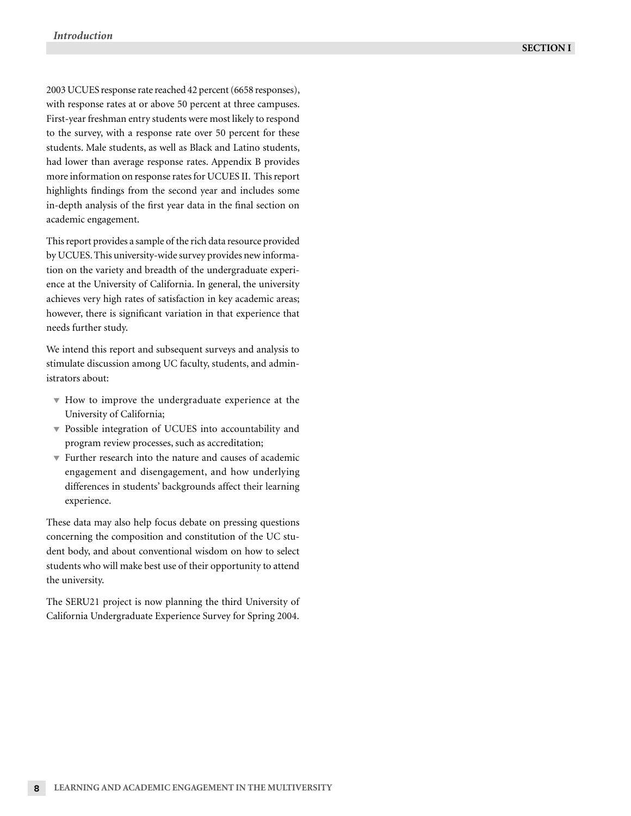2003 UCUES response rate reached 42 percent (6658 responses), with response rates at or above 50 percent at three campuses. First-year freshman entry students were most likely to respond to the survey, with a response rate over 50 percent for these students. Male students, as well as Black and Latino students, had lower than average response rates. Appendix B provides more information on response rates for UCUES II. This report highlights findings from the second year and includes some in-depth analysis of the first year data in the final section on academic engagement.

This report provides a sample of the rich data resource provided by UCUES. This university-wide survey provides new information on the variety and breadth of the undergraduate experience at the University of California. In general, the university achieves very high rates of satisfaction in key academic areas; however, there is significant variation in that experience that needs further study.

We intend this report and subsequent surveys and analysis to stimulate discussion among UC faculty, students, and administrators about:

- How to improve the undergraduate experience at the University of California;
- Possible integration of UCUES into accountability and program review processes, such as accreditation;
- Further research into the nature and causes of academic engagement and disengagement, and how underlying differences in students' backgrounds affect their learning experience.

These data may also help focus debate on pressing questions concerning the composition and constitution of the UC student body, and about conventional wisdom on how to select students who will make best use of their opportunity to attend the university.

The SERU21 project is now planning the third University of California Undergraduate Experience Survey for Spring 2004.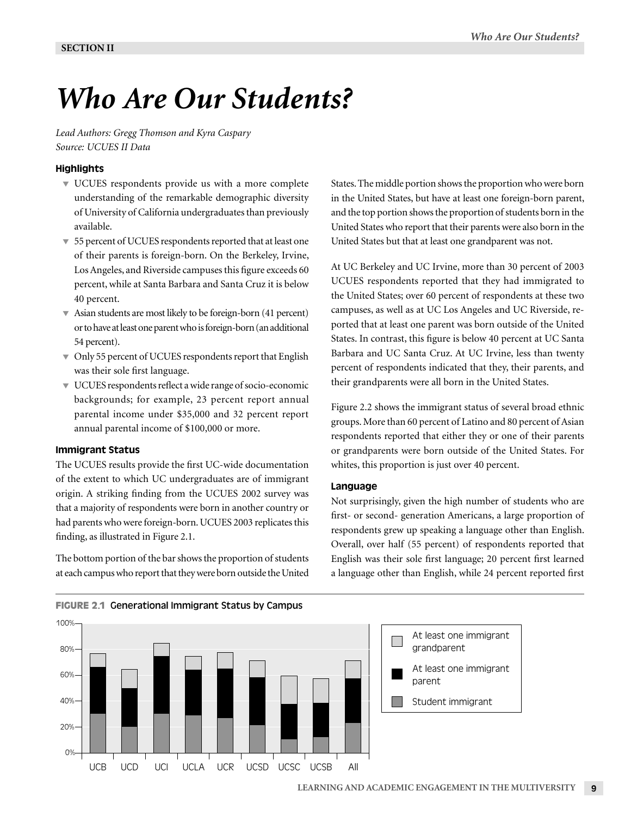# *Who Are Our Students?*

*Lead Authors: Gregg Thomson and Kyra Caspary Source: UCUES II Data*

# **Highlights**

- UCUES respondents provide us with a more complete understanding of the remarkable demographic diversity of University of California undergraduates than previously available.
- 55 percent of UCUES respondents reported that at least one of their parents is foreign-born. On the Berkeley, Irvine, Los Angeles, and Riverside campuses this figure exceeds 60 percent, while at Santa Barbara and Santa Cruz it is below 40 percent.
- Asian students are most likely to be foreign-born (41 percent) or to have at least one parent who is foreign-born (an additional 54 percent).
- $\bullet$  Only 55 percent of UCUES respondents report that English was their sole first language.
- UCUES respondents reflect a wide range of socio-economic backgrounds; for example, 23 percent report annual parental income under \$35,000 and 32 percent report annual parental income of \$100,000 or more.

#### Immigrant Status

The UCUES results provide the first UC-wide documentation of the extent to which UC undergraduates are of immigrant origin. A striking finding from the UCUES 2002 survey was that a majority of respondents were born in another country or had parents who were foreign-born. UCUES 2003 replicates this finding, as illustrated in Figure 2.1.

The bottom portion of the bar shows the proportion of students at each campus who report that they were born outside the United States. The middle portion shows the proportion who were born in the United States, but have at least one foreign-born parent, and the top portion shows the proportion of students born in the United States who report that their parents were also born in the United States but that at least one grandparent was not.

At UC Berkeley and UC Irvine, more than 30 percent of 2003 UCUES respondents reported that they had immigrated to the United States; over 60 percent of respondents at these two campuses, as well as at UC Los Angeles and UC Riverside, reported that at least one parent was born outside of the United States. In contrast, this figure is below 40 percent at UC Santa Barbara and UC Santa Cruz. At UC Irvine, less than twenty percent of respondents indicated that they, their parents, and their grandparents were all born in the United States.

Figure 2.2 shows the immigrant status of several broad ethnic groups. More than 60 percent of Latino and 80 percent of Asian respondents reported that either they or one of their parents or grandparents were born outside of the United States. For whites, this proportion is just over 40 percent.

#### Language

Not surprisingly, given the high number of students who are first- or second- generation Americans, a large proportion of respondents grew up speaking a language other than English. Overall, over half (55 percent) of respondents reported that English was their sole first language; 20 percent first learned a language other than English, while 24 percent reported first



#### **FIGURE 2.1** Generational Immigrant Status by Campus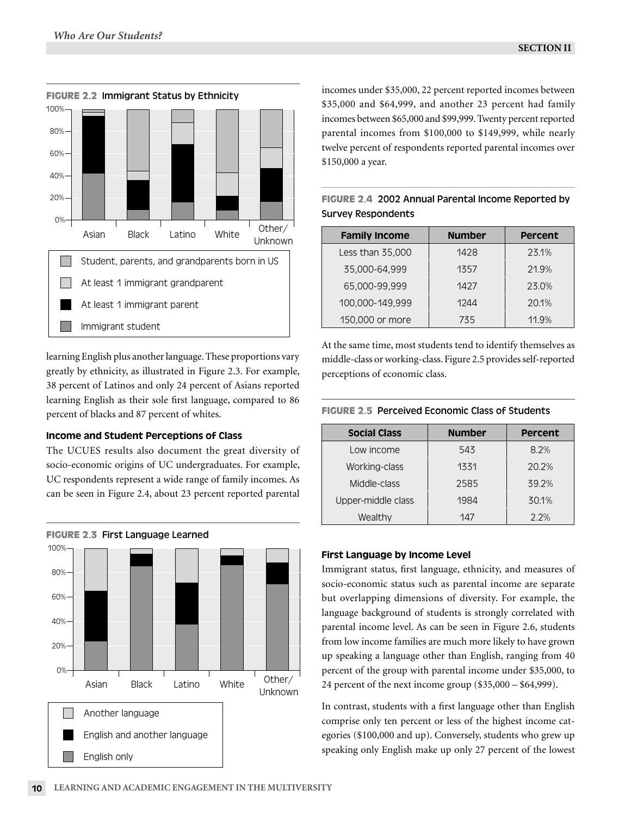**FIGURE 2.2**



# **FIGURE 2.2 Immigrant Status by Ethnicity**

learning English plus another language. These proportions vary greatly by ethnicity, as illustrated in Figure 2.3. For example, 38 percent of Latinos and only 24 percent of Asians reported learning English as their sole first language, compared to 86 percent of blacks and 87 percent of whites.

# Income and Student Perceptions of Class

The UCUES results also document the great diversity of socio-economic origins of UC undergraduates. For example, UC respondents represent a wide range of family incomes. As can be seen in Figure 2.4, about 23 percent reported parental



# **FIGURE 2.3 First Language Learned**

incomes under \$35,000, 22 percent reported incomes between \$35,000 and \$64,999, and another 23 percent had family incomes between \$65,000 and \$99,999. Twenty percent reported parental incomes from \$100,000 to \$149,999, while nearly twelve percent of respondents reported parental incomes over \$150,000 a year.

**FIGURE 2.4** 2002 Annual Parental Income Reported by

Survey Respondents

| <b>Family Income</b> | <b>Number</b> | Percent |
|----------------------|---------------|---------|
| Less than 35,000     | 1428          | 23.1%   |
| 35,000-64,999        | 1357          | 21.9%   |
| 65,000-99,999        | 1427          | 23.0%   |
| 100,000-149,999      | 1244          | 20.1%   |
| 150,000 or more      | 735           | 11.9%   |

At the same time, most students tend to identify themselves as middle-class or working-class. Figure 2.5 provides self-reported perceptions of economic class.

# **FIGURE 2.5** Perceived Economic Class of Students

| <b>Social Class</b> | <b>Number</b> | Percent |
|---------------------|---------------|---------|
| Low income          | 543           | 8.2%    |
| Working-class       | 1331          | 20.2%   |
| Middle-class        | 2585          | 39.2%   |
| Upper-middle class  | 1984          | 30.1%   |
| Wealthy             | 147           | 2.2%    |

# First Language by Income Level

Immigrant status, first language, ethnicity, and measures of socio-economic status such as parental income are separate but overlapping dimensions of diversity. For example, the language background of students is strongly correlated with parental income level. As can be seen in Figure 2.6, students from low income families are much more likely to have grown up speaking a language other than English, ranging from 40 percent of the group with parental income under \$35,000, to 24 percent of the next income group (\$35,000 – \$64,999).

In contrast, students with a first language other than English comprise only ten percent or less of the highest income categories (\$100,000 and up). Conversely, students who grew up speaking only English make up only 27 percent of the lowest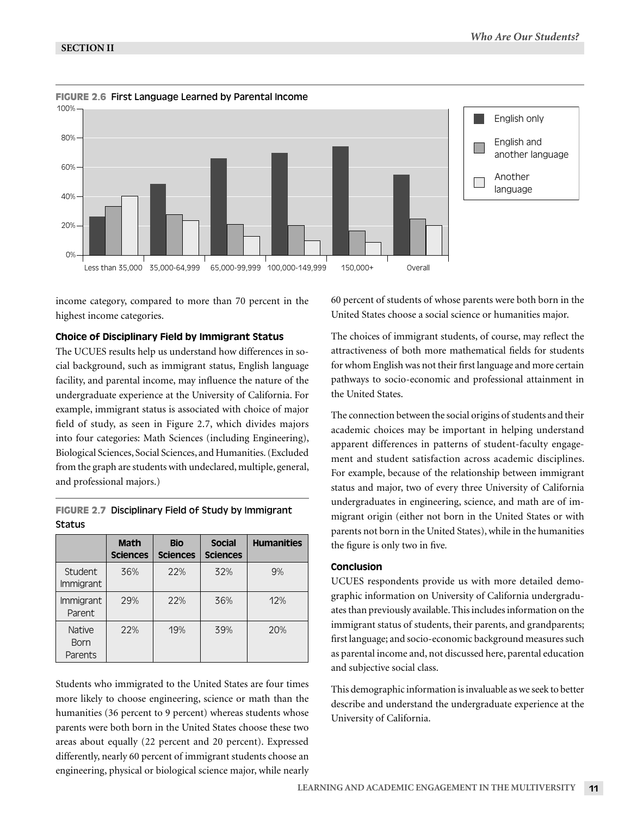

**FIGURE 2.6** First Language Learned by Parental Income

income category, compared to more than 70 percent in the highest income categories.

#### Choice of Disciplinary Field by Immigrant Status

The UCUES results help us understand how differences in social background, such as immigrant status, English language facility, and parental income, may influence the nature of the undergraduate experience at the University of California. For example, immigrant status is associated with choice of major field of study, as seen in Figure 2.7, which divides majors into four categories: Math Sciences (including Engineering), Biological Sciences, Social Sciences, and Humanities. (Excluded from the graph are students with undeclared, multiple, general, and professional majors.)

|                                         | <b>Math</b><br><b>Sciences</b> | <b>Bio</b><br><b>Sciences</b> | <b>Social</b><br><b>Sciences</b> | <b>Humanities</b> |
|-----------------------------------------|--------------------------------|-------------------------------|----------------------------------|-------------------|
| Student<br>Immigrant                    | 36%                            | 22%                           | 32%                              | 9%                |
| Immigrant<br>Parent                     | 29%                            | 22%                           | 36%                              | 12%               |
| <b>Native</b><br><b>Born</b><br>Parents | 22%                            | 19%                           | 39%                              | 20%               |

**FIGURE 2.7** Disciplinary Field of Study by Immigrant Status

Students who immigrated to the United States are four times more likely to choose engineering, science or math than the humanities (36 percent to 9 percent) whereas students whose parents were both born in the United States choose these two areas about equally (22 percent and 20 percent). Expressed differently, nearly 60 percent of immigrant students choose an engineering, physical or biological science major, while nearly

60 percent of students of whose parents were both born in the United States choose a social science or humanities major.

The choices of immigrant students, of course, may reflect the attractiveness of both more mathematical fields for students for whom English was not their first language and more certain pathways to socio-economic and professional attainment in the United States.

The connection between the social origins of students and their academic choices may be important in helping understand apparent differences in patterns of student-faculty engagement and student satisfaction across academic disciplines. For example, because of the relationship between immigrant status and major, two of every three University of California undergraduates in engineering, science, and math are of immigrant origin (either not born in the United States or with parents not born in the United States), while in the humanities the figure is only two in five*.* 

# Conclusion

UCUES respondents provide us with more detailed demographic information on University of California undergraduates than previously available. This includes information on the immigrant status of students, their parents, and grandparents; first language; and socio-economic background measures such as parental income and, not discussed here, parental education and subjective social class.

This demographic information is invaluable as we seek to better describe and understand the undergraduate experience at the University of California.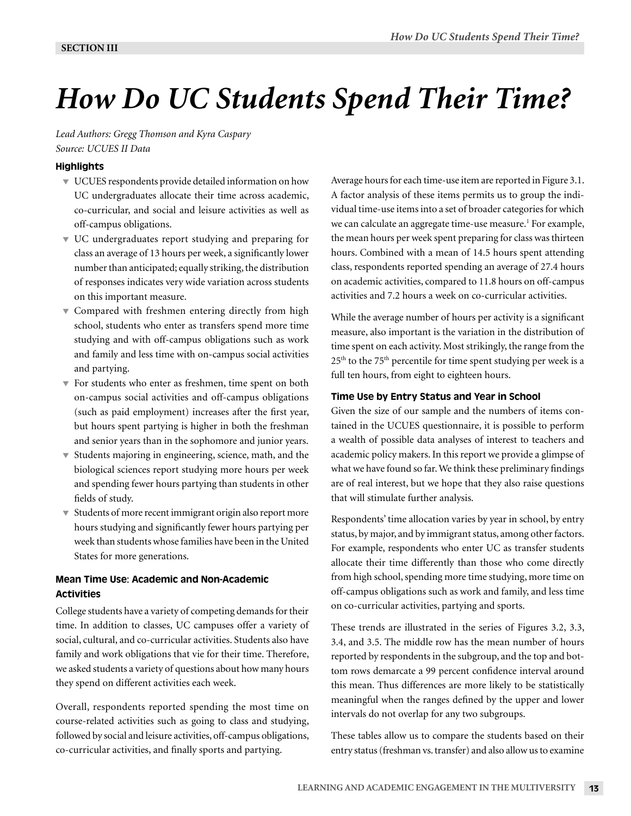# *How Do UC Students Spend Their Time?*

*Lead Authors: Gregg Thomson and Kyra Caspary Source: UCUES II Data*

# **Highlights**

- UCUES respondents provide detailed information on how UC undergraduates allocate their time across academic, co-curricular, and social and leisure activities as well as off-campus obligations.
- UC undergraduates report studying and preparing for class an average of 13 hours per week, a significantly lower number than anticipated; equally striking, the distribution of responses indicates very wide variation across students on this important measure.
- $\blacktriangledown$  Compared with freshmen entering directly from high school, students who enter as transfers spend more time studying and with off-campus obligations such as work and family and less time with on-campus social activities and partying.
- For students who enter as freshmen, time spent on both on-campus social activities and off-campus obligations (such as paid employment) increases after the first year, but hours spent partying is higher in both the freshman and senior years than in the sophomore and junior years.
- $\blacktriangledown$  Students majoring in engineering, science, math, and the biological sciences report studying more hours per week and spending fewer hours partying than students in other fields of study.
- $\blacktriangledown$  Students of more recent immigrant origin also report more hours studying and significantly fewer hours partying per week than students whose families have been in the United States for more generations.

# Mean Time Use: Academic and Non-Academic Activities

College students have a variety of competing demands for their time. In addition to classes, UC campuses offer a variety of social, cultural, and co-curricular activities. Students also have family and work obligations that vie for their time. Therefore, we asked students a variety of questions about how many hours they spend on different activities each week.

Overall, respondents reported spending the most time on course-related activities such as going to class and studying, followed by social and leisure activities, off-campus obligations, co-curricular activities, and finally sports and partying.

Average hours for each time-use item are reported in Figure 3.1. A factor analysis of these items permits us to group the individual time-use items into a set of broader categories for which we can calculate an aggregate time-use measure.<sup>1</sup> For example, the mean hours per week spent preparing for class was thirteen hours. Combined with a mean of 14.5 hours spent attending class, respondents reported spending an average of 27.4 hours on academic activities, compared to 11.8 hours on off-campus activities and 7.2 hours a week on co-curricular activities.

While the average number of hours per activity is a significant measure, also important is the variation in the distribution of time spent on each activity. Most strikingly, the range from the  $25<sup>th</sup>$  to the 75<sup>th</sup> percentile for time spent studying per week is a full ten hours, from eight to eighteen hours.

#### Time Use by Entry Status and Year in School

Given the size of our sample and the numbers of items contained in the UCUES questionnaire, it is possible to perform a wealth of possible data analyses of interest to teachers and academic policy makers. In this report we provide a glimpse of what we have found so far. We think these preliminary findings are of real interest, but we hope that they also raise questions that will stimulate further analysis.

Respondents' time allocation varies by year in school, by entry status, by major, and by immigrant status, among other factors. For example, respondents who enter UC as transfer students allocate their time differently than those who come directly from high school, spending more time studying, more time on off-campus obligations such as work and family, and less time on co-curricular activities, partying and sports.

These trends are illustrated in the series of Figures 3.2, 3.3, 3.4, and 3.5. The middle row has the mean number of hours reported by respondents in the subgroup, and the top and bottom rows demarcate a 99 percent confidence interval around this mean. Thus differences are more likely to be statistically meaningful when the ranges defined by the upper and lower intervals do not overlap for any two subgroups.

These tables allow us to compare the students based on their entry status (freshman vs. transfer) and also allow us to examine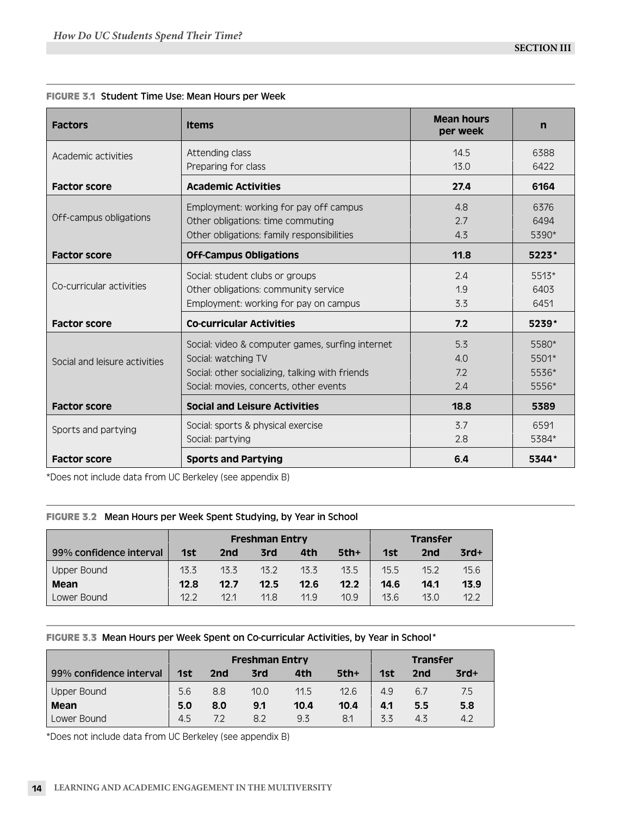| <b>Factors</b>                | <b>Items</b>                                                                                                                                                         | <b>Mean hours</b><br>per week | $\mathbf n$                      |
|-------------------------------|----------------------------------------------------------------------------------------------------------------------------------------------------------------------|-------------------------------|----------------------------------|
| Academic activities           | Attending class<br>Preparing for class                                                                                                                               | 14.5<br>13.0                  | 6388<br>6422                     |
| <b>Factor score</b>           | <b>Academic Activities</b>                                                                                                                                           | 27.4                          | 6164                             |
| Off-campus obligations        | Employment: working for pay off campus<br>Other obligations: time commuting<br>Other obligations: family responsibilities                                            | 4.8<br>2.7<br>4.3             | 6376<br>6494<br>5390*            |
| <b>Factor score</b>           | <b>Off-Campus Obligations</b>                                                                                                                                        | 11.8                          | $5223*$                          |
| Co-curricular activities      | Social: student clubs or groups<br>Other obligations: community service<br>Employment: working for pay on campus                                                     | 2.4<br>1.9<br>3.3             | $5513*$<br>6403<br>6451          |
| <b>Factor score</b>           | <b>Co-curricular Activities</b>                                                                                                                                      | 7.2                           | $5239*$                          |
| Social and leisure activities | Social: video & computer games, surfing internet<br>Social: watching TV<br>Social: other socializing, talking with friends<br>Social: movies, concerts, other events | 5.3<br>4.0<br>7.2<br>2.4      | 5580*<br>5501*<br>5536*<br>5556* |
| <b>Factor score</b>           | <b>Social and Leisure Activities</b>                                                                                                                                 | 18.8                          | 5389                             |
| Sports and partying           | Social: sports & physical exercise<br>Social: partying                                                                                                               | 3.7<br>2.8                    | 6591<br>5384*                    |
| <b>Factor score</b>           | <b>Sports and Partying</b>                                                                                                                                           | 6.4                           | 5344*                            |

# **FIGURE 3.1** Student Time Use: Mean Hours per Week

\*Does not include data from UC Berkeley (see appendix B)

# **FIGURE 3.2** Mean Hours per Week Spent Studying, by Year in School

|                         |      |      | <b>Freshman Entry</b> |      | <b>Transfer</b> |      |      |        |
|-------------------------|------|------|-----------------------|------|-----------------|------|------|--------|
| 99% confidence interval | 1st  | 2nd  | 3rd                   | 4th  | $5th+$          | 1st  | 2nd  | $3rd+$ |
| <b>Upper Bound</b>      | 13.3 | 13.3 | 13.2                  | 13.3 | 13.5            | 15.5 | 15.2 | 15.6   |
| Mean                    | 12.8 | 12.7 | 12.5                  | 12.6 | 12.2            | 14.6 | 14.1 | 13.9   |
| Lower Bound             | 12.2 | 121  | 11.8                  | 11.9 | 10.9            | 13.6 | 13.0 | 12.2   |

# **FIGURE 3.3** Mean Hours per Week Spent on Co-curricular Activities, by Year in School\*

|                         | <b>Freshman Entry</b> |     |      |      |        |     | <b>Transfer</b> |        |
|-------------------------|-----------------------|-----|------|------|--------|-----|-----------------|--------|
| 99% confidence interval | 1st                   | 2nd | 3rd  | 4th  | $5th+$ | 1st | 2nd             | $3rd+$ |
| Upper Bound             | 5.6                   | 8.8 | 10.0 | 11.5 | 12.6   | 4.9 | 6.7             | 7.5    |
| Mean                    | 5.0                   | 8.0 | 9.1  | 10.4 | 10.4   | 4.1 | 5.5             | 5.8    |
| Lower Bound             | 4.5                   | 72  | 8.2  | 9.3  | 8.1    | 3.3 | 4.3             | 4.2    |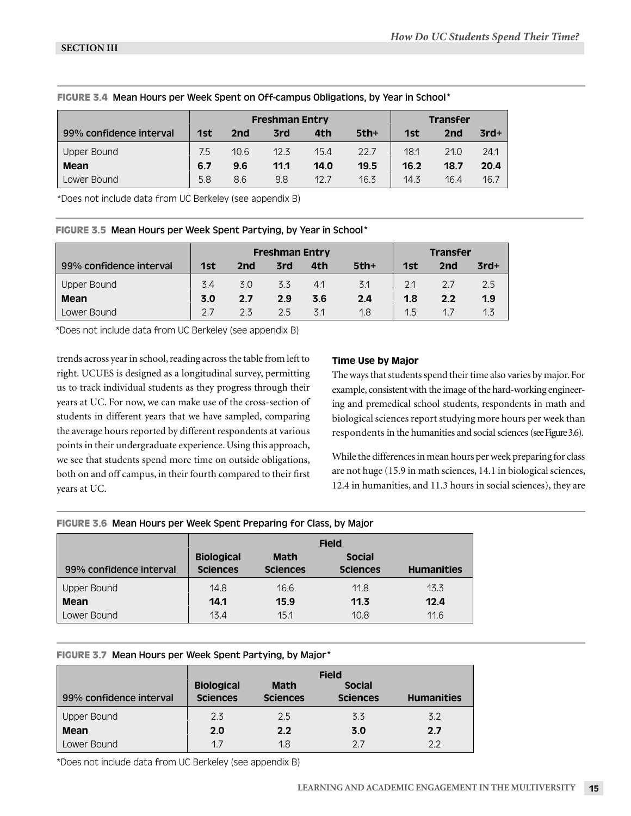|                         |     |      | <b>Freshman Entry</b> |      | <b>Transfer</b> |      |      |        |
|-------------------------|-----|------|-----------------------|------|-----------------|------|------|--------|
| 99% confidence interval | 1st | 2nd  | 3rd                   | 4th  | $5th+$          | 1st  | 2nd  | $3rd+$ |
| Upper Bound             | 7.5 | 10.6 | 12.3                  | 15.4 | 22.7            | 18.1 | 21.0 | 24.1   |
| Mean                    | 6.7 | 9.6  | 11.1                  | 14.0 | 19.5            | 16.2 | 18.7 | 20.4   |
| Lower Bound             | 5.8 | 8.6  | 9.8                   | 12.7 | 16.3            | 14.3 | 16.4 | 16.7   |

#### **FIGURE 3.4** Mean Hours per Week Spent on Off-campus Obligations, by Year in School\*

\*Does not include data from UC Berkeley (see appendix B)

**FIGURE 3.5** Mean Hours per Week Spent Partying, by Year in School\*

|                         | <b>Freshman Entry</b> |     |     |     |        |     | <b>Transfer</b> |        |
|-------------------------|-----------------------|-----|-----|-----|--------|-----|-----------------|--------|
| 99% confidence interval | 1st                   | 2nd | 3rd | 4th | $5th+$ | 1st | 2nd             | $3rd+$ |
| Upper Bound             | 3.4                   | 3.0 | 3.3 | 4.1 | 3.1    | 2.1 |                 | 2.5    |
| Mean                    | 3.0                   | 2.7 | 2.9 | 3.6 | 2.4    | 1.8 | 2.2             | 1.9    |
| Lower Bound             |                       | 23  | 2.5 | 3.1 | 1.8    | 1.5 | 17              | 1.3    |

\*Does not include data from UC Berkeley (see appendix B)

trends across year in school, reading across the table from left to right. UCUES is designed as a longitudinal survey, permitting us to track individual students as they progress through their years at UC. For now, we can make use of the cross-section of students in different years that we have sampled, comparing the average hours reported by different respondents at various points in their undergraduate experience. Using this approach, we see that students spend more time on outside obligations, both on and off campus, in their fourth compared to their first years at UC.

# Time Use by Major

The ways that students spend their time also varies by major. For example, consistent with the image of the hard-working engineering and premedical school students, respondents in math and biological sciences report studying more hours per week than respondents in the humanities and social sciences (see Figure 3.6).

While the differences in mean hours per week preparing for class are not huge (15.9 in math sciences, 14.1 in biological sciences, 12.4 in humanities, and 11.3 hours in social sciences), they are

|  |  | FIGURE 3.6 Mean Hours per Week Spent Preparing for Class, by Major |
|--|--|--------------------------------------------------------------------|
|  |  |                                                                    |

|                         | <b>Field</b>                         |                                |                                  |                   |  |  |  |
|-------------------------|--------------------------------------|--------------------------------|----------------------------------|-------------------|--|--|--|
| 99% confidence interval | <b>Biological</b><br><b>Sciences</b> | <b>Math</b><br><b>Sciences</b> | <b>Social</b><br><b>Sciences</b> | <b>Humanities</b> |  |  |  |
| Upper Bound             | 14.8                                 | 16.6                           | 11.8                             | 13.3              |  |  |  |
| Mean                    | 14.1                                 | 15.9                           | 11.3                             | 12.4              |  |  |  |
| Lower Bound             | 13.4                                 | 15.1                           | 10.8                             | 11.6              |  |  |  |

# **FIGURE 3.7** Mean Hours per Week Spent Partying, by Major\*

|                         | <b>Field</b>                         |                                |                                  |                   |  |  |  |  |  |
|-------------------------|--------------------------------------|--------------------------------|----------------------------------|-------------------|--|--|--|--|--|
| 99% confidence interval | <b>Biological</b><br><b>Sciences</b> | <b>Math</b><br><b>Sciences</b> | <b>Social</b><br><b>Sciences</b> | <b>Humanities</b> |  |  |  |  |  |
| <b>Upper Bound</b>      | 2.3                                  | 2.5                            | 3.3                              | 3.2               |  |  |  |  |  |
| Mean                    | 2.0                                  | 2.2                            | 3.0                              | 2.7               |  |  |  |  |  |
| Lower Bound             | 1.7                                  | 1.8                            | 2.7                              | $2.2^{\circ}$     |  |  |  |  |  |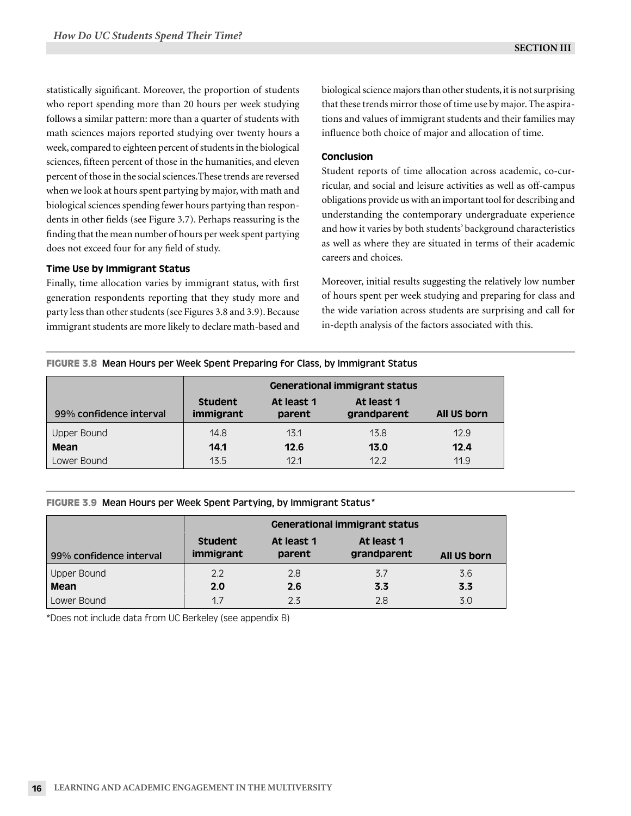statistically significant. Moreover, the proportion of students who report spending more than 20 hours per week studying follows a similar pattern: more than a quarter of students with math sciences majors reported studying over twenty hours a week, compared to eighteen percent of students in the biological sciences, fifteen percent of those in the humanities, and eleven percent of those in the social sciences.These trends are reversed when we look at hours spent partying by major, with math and biological sciences spending fewer hours partying than respondents in other fields (see Figure 3.7). Perhaps reassuring is the finding that the mean number of hours per week spent partying does not exceed four for any field of study.

# Time Use by Immigrant Status

Finally, time allocation varies by immigrant status, with first generation respondents reporting that they study more and party less than other students (see Figures 3.8 and 3.9). Because immigrant students are more likely to declare math-based and biological science majors than other students, it is not surprising that these trends mirror those of time use by major. The aspirations and values of immigrant students and their families may influence both choice of major and allocation of time.

#### Conclusion

Student reports of time allocation across academic, co-curricular, and social and leisure activities as well as off-campus obligations provide us with an important tool for describing and understanding the contemporary undergraduate experience and how it varies by both students' background characteristics as well as where they are situated in terms of their academic careers and choices.

Moreover, initial results suggesting the relatively low number of hours spent per week studying and preparing for class and the wide variation across students are surprising and call for in-depth analysis of the factors associated with this.

#### **FIGURE 3.8** Mean Hours per Week Spent Preparing for Class, by Immigrant Status

|                         | <b>Generational immigrant status</b> |                      |                           |             |  |  |  |  |
|-------------------------|--------------------------------------|----------------------|---------------------------|-------------|--|--|--|--|
| 99% confidence interval | <b>Student</b><br>immigrant          | At least 1<br>parent | At least 1<br>grandparent | All US born |  |  |  |  |
| Upper Bound             | 14.8                                 | 13.1                 | 13.8                      | 12.9        |  |  |  |  |
| Mean                    | 14.1                                 | 12.6                 | 13.0                      | 12.4        |  |  |  |  |
| Lower Bound             | 13.5                                 | 12.1                 | 12.2                      | 11.9        |  |  |  |  |

#### **FIGURE 3.9** Mean Hours per Week Spent Partying, by Immigrant Status\*

|                         | <b>Generational immigrant status</b> |                      |                           |             |  |  |  |  |  |
|-------------------------|--------------------------------------|----------------------|---------------------------|-------------|--|--|--|--|--|
| 99% confidence interval | <b>Student</b><br>immigrant          | At least 1<br>parent | At least 1<br>grandparent | All US born |  |  |  |  |  |
| Upper Bound             | 2.2                                  | 2.8                  | 3.7                       | 3.6         |  |  |  |  |  |
| Mean                    | 2.0                                  | 2.6                  | 3.3                       | 3.3         |  |  |  |  |  |
| Lower Bound             | 1.7                                  | 2.3                  | 2.8                       | 3.0         |  |  |  |  |  |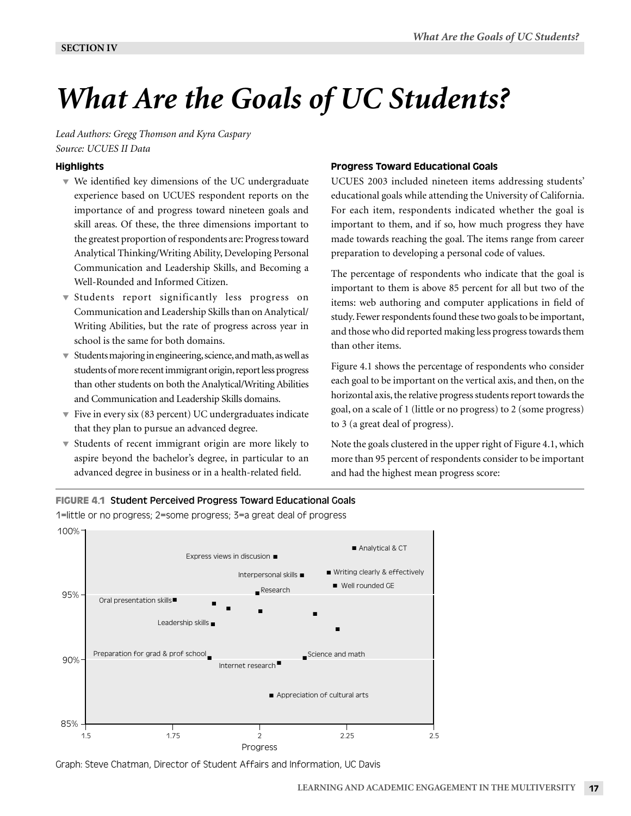# *What Are the Goals of UC Students?*

*Lead Authors: Gregg Thomson and Kyra Caspary Source: UCUES II Data*

# **Highlights**

- We identified key dimensions of the UC undergraduate experience based on UCUES respondent reports on the importance of and progress toward nineteen goals and skill areas. Of these, the three dimensions important to the greatest proportion of respondents are: Progress toward Analytical Thinking/Writing Ability, Developing Personal Communication and Leadership Skills, and Becoming a Well-Rounded and Informed Citizen.
- Students report significantly less progress on Communication and Leadership Skills than on Analytical/ Writing Abilities, but the rate of progress across year in school is the same for both domains.
- $\blacktriangledown$  Students majoring in engineering, science, and math, as well as students of more recent immigrant origin, report less progress than other students on both the Analytical/Writing Abilities and Communication and Leadership Skills domains.
- Five in every six (83 percent) UC undergraduates indicate that they plan to pursue an advanced degree.
- Students of recent immigrant origin are more likely to aspire beyond the bachelor's degree, in particular to an advanced degree in business or in a health-related field.

# Progress Toward Educational Goals

UCUES 2003 included nineteen items addressing students' educational goals while attending the University of California. For each item, respondents indicated whether the goal is important to them, and if so, how much progress they have made towards reaching the goal. The items range from career preparation to developing a personal code of values.

The percentage of respondents who indicate that the goal is important to them is above 85 percent for all but two of the items: web authoring and computer applications in field of study. Fewer respondents found these two goals to be important, and those who did reported making less progress towards them than other items.

Figure 4.1 shows the percentage of respondents who consider each goal to be important on the vertical axis, and then, on the horizontal axis, the relative progress students report towards the goal, on a scale of 1 (little or no progress) to 2 (some progress) to 3 (a great deal of progress).

Note the goals clustered in the upper right of Figure 4.1, which more than 95 percent of respondents consider to be important and had the highest mean progress score:



1=little or no progress; 2=some progress; 3=a great deal of progress



Graph: Steve Chatman, Director of Student Affairs and Information, UC Davis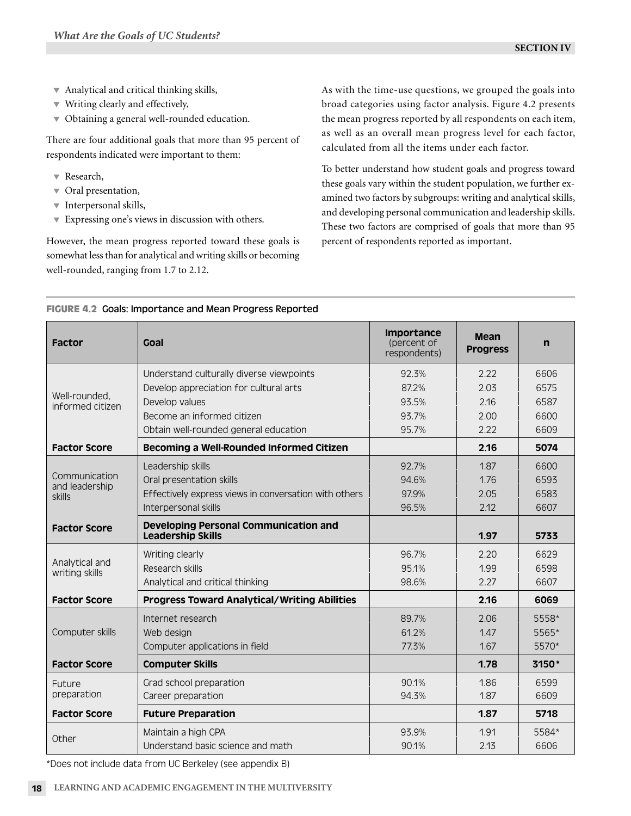- Analytical and critical thinking skills,
- Writing clearly and effectively,
- $\blacktriangledown$  Obtaining a general well-rounded education.

There are four additional goals that more than 95 percent of respondents indicated were important to them:

- Research,
- $\overline{\phantom{a}}$  Oral presentation,
- $\blacktriangledown$  Interpersonal skills,
- **Expressing one's views in discussion with others.**

However, the mean progress reported toward these goals is somewhat less than for analytical and writing skills or becoming well-rounded, ranging from 1.7 to 2.12.

As with the time-use questions, we grouped the goals into broad categories using factor analysis. Figure 4.2 presents the mean progress reported by all respondents on each item, as well as an overall mean progress level for each factor, calculated from all the items under each factor.

To better understand how student goals and progress toward these goals vary within the student population, we further examined two factors by subgroups: writing and analytical skills, and developing personal communication and leadership skills. These two factors are comprised of goals that more than 95 percent of respondents reported as important.

| <b>Factor</b>                     | <b>Goal</b>                                                              | Importance<br>(percent of<br>respondents) | Mean<br><b>Progress</b> | $\mathsf{n}$ |
|-----------------------------------|--------------------------------------------------------------------------|-------------------------------------------|-------------------------|--------------|
|                                   | Understand culturally diverse viewpoints                                 | 92.3%                                     | 2.22                    | 6606         |
|                                   | Develop appreciation for cultural arts                                   | 87.2%                                     | 2.03                    | 6575         |
| Well-rounded,<br>informed citizen | Develop values                                                           | 93.5%                                     | 2.16                    | 6587         |
|                                   | Become an informed citizen                                               | 93.7%                                     | 2.00                    | 6600         |
|                                   | Obtain well-rounded general education                                    | 95.7%                                     | 2.22                    | 6609         |
| <b>Factor Score</b>               | Becoming a Well-Rounded Informed Citizen                                 |                                           | 2.16                    | 5074         |
|                                   | Leadership skills                                                        | 92.7%                                     | 1.87                    | 6600         |
| Communication<br>and leadership   | Oral presentation skills                                                 | 94.6%                                     | 1.76                    | 6593         |
| skills                            | Effectively express views in conversation with others                    | 97.9%                                     | 2.05                    | 6583         |
|                                   | Interpersonal skills                                                     | 96.5%                                     | 2.12                    | 6607         |
| <b>Factor Score</b>               | <b>Developing Personal Communication and</b><br><b>Leadership Skills</b> |                                           | 1.97                    | 5733         |
|                                   | Writing clearly                                                          | 96.7%                                     | 2.20                    | 6629         |
| Analytical and<br>writing skills  | Research skills                                                          | 95.1%                                     | 1.99                    | 6598         |
|                                   | Analytical and critical thinking                                         | 98.6%                                     | 2.27                    | 6607         |
| <b>Factor Score</b>               | <b>Progress Toward Analytical/Writing Abilities</b>                      |                                           | 2.16                    | 6069         |
|                                   | Internet research                                                        | 89.7%                                     | 2.06                    | 5558*        |
| Computer skills                   | Web design                                                               | 61.2%                                     | 1.47                    | 5565*        |
|                                   | Computer applications in field                                           | 77.3%                                     | 1.67                    | 5570*        |
| <b>Factor Score</b>               | <b>Computer Skills</b>                                                   |                                           | 1.78                    | 3150*        |
| Future                            | Grad school preparation                                                  | 90.1%                                     | 1.86                    | 6599         |
| preparation                       | Career preparation                                                       | 94.3%                                     | 1.87                    | 6609         |
| <b>Factor Score</b>               | <b>Future Preparation</b>                                                |                                           | 1.87                    | 5718         |
| Other                             | Maintain a high GPA                                                      | 93.9%                                     | 1.91                    | 5584*        |
|                                   | Understand basic science and math                                        | 90.1%                                     | 2.13                    | 6606         |

#### **FIGURE 4.2** Goals: Importance and Mean Progress Reported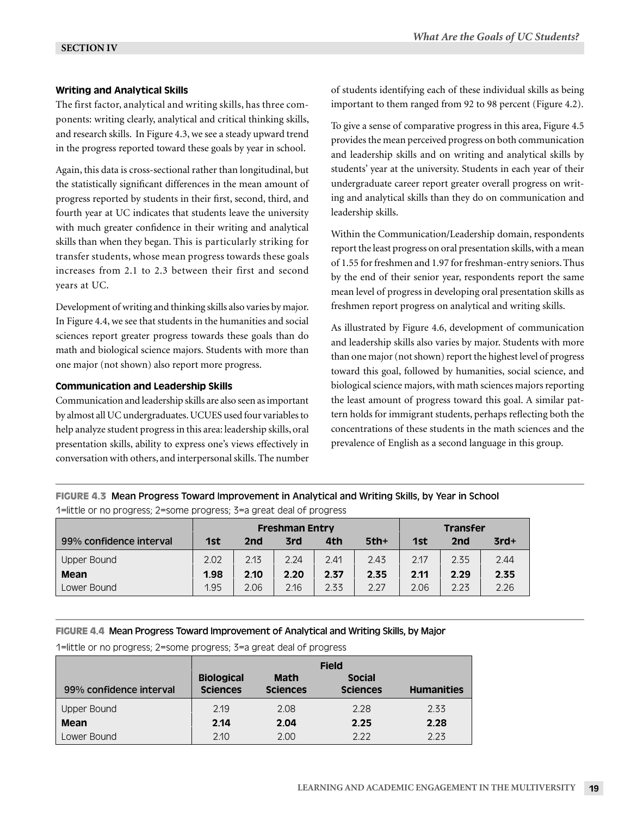# Writing and Analytical Skills

The first factor, analytical and writing skills, has three components: writing clearly, analytical and critical thinking skills, and research skills. In Figure 4.3, we see a steady upward trend in the progress reported toward these goals by year in school.

Again, this data is cross-sectional rather than longitudinal, but the statistically significant differences in the mean amount of progress reported by students in their first, second, third, and fourth year at UC indicates that students leave the university with much greater confidence in their writing and analytical skills than when they began. This is particularly striking for transfer students, whose mean progress towards these goals increases from 2.1 to 2.3 between their first and second years at UC.

Development of writing and thinking skills also varies by major. In Figure 4.4, we see that students in the humanities and social sciences report greater progress towards these goals than do math and biological science majors. Students with more than one major (not shown) also report more progress.

# Communication and Leadership Skills

Communication and leadership skills are also seen as important by almost all UC undergraduates. UCUES used four variables to help analyze student progress in this area: leadership skills, oral presentation skills, ability to express one's views effectively in conversation with others, and interpersonal skills. The number of students identifying each of these individual skills as being important to them ranged from 92 to 98 percent (Figure 4.2).

To give a sense of comparative progress in this area, Figure 4.5 provides the mean perceived progress on both communication and leadership skills and on writing and analytical skills by students' year at the university. Students in each year of their undergraduate career report greater overall progress on writing and analytical skills than they do on communication and leadership skills.

Within the Communication/Leadership domain, respondents report the least progress on oral presentation skills, with a mean of 1.55 for freshmen and 1.97 for freshman-entry seniors. Thus by the end of their senior year, respondents report the same mean level of progress in developing oral presentation skills as freshmen report progress on analytical and writing skills.

As illustrated by Figure 4.6, development of communication and leadership skills also varies by major. Students with more than one major (not shown) report the highest level of progress toward this goal, followed by humanities, social science, and biological science majors, with math sciences majors reporting the least amount of progress toward this goal. A similar pattern holds for immigrant students, perhaps reflecting both the concentrations of these students in the math sciences and the prevalence of English as a second language in this group.

**FIGURE 4.3** Mean Progress Toward Improvement in Analytical and Writing Skills, by Year in School 1=little or no progress; 2=some progress; 3=a great deal of progress

|                         |      |      | <b>Freshman Entry</b> |      | <b>Transfer</b> |      |      |        |
|-------------------------|------|------|-----------------------|------|-----------------|------|------|--------|
| 99% confidence interval | 1st  | 2nd  | 3rd                   | 4th  | $5th+$          | 1st  | 2nd  | $3rd+$ |
| Upper Bound             | 2.02 | 2.13 | 2.24                  | 2.41 | 2.43            | 2.17 | 2.35 | 2.44   |
| Mean                    | 1.98 | 2.10 | 2.20                  | 2.37 | 2.35            | 2.11 | 2.29 | 2.35   |
| Lower Bound             | 1.95 | 2.06 | 2.16                  | 2.33 | 2.27            | 2.06 | 2.23 | 2.26   |

**FIGURE 4.4** Mean Progress Toward Improvement of Analytical and Writing Skills, by Major

|                         | <b>Field</b>      |                 |                 |                   |  |  |  |  |
|-------------------------|-------------------|-----------------|-----------------|-------------------|--|--|--|--|
|                         | <b>Biological</b> | <b>Math</b>     | <b>Social</b>   |                   |  |  |  |  |
| 99% confidence interval | <b>Sciences</b>   | <b>Sciences</b> | <b>Sciences</b> | <b>Humanities</b> |  |  |  |  |
| Upper Bound             | 2.19              | 2.08            | 2.28            | 2.33              |  |  |  |  |
| Mean                    | 2.14              | 2.04            | 2.25            | 2.28              |  |  |  |  |
| Lower Bound             | 2.10              | 2.00            | 2.22            | 2.23              |  |  |  |  |

1=little or no progress; 2=some progress; 3=a great deal of progress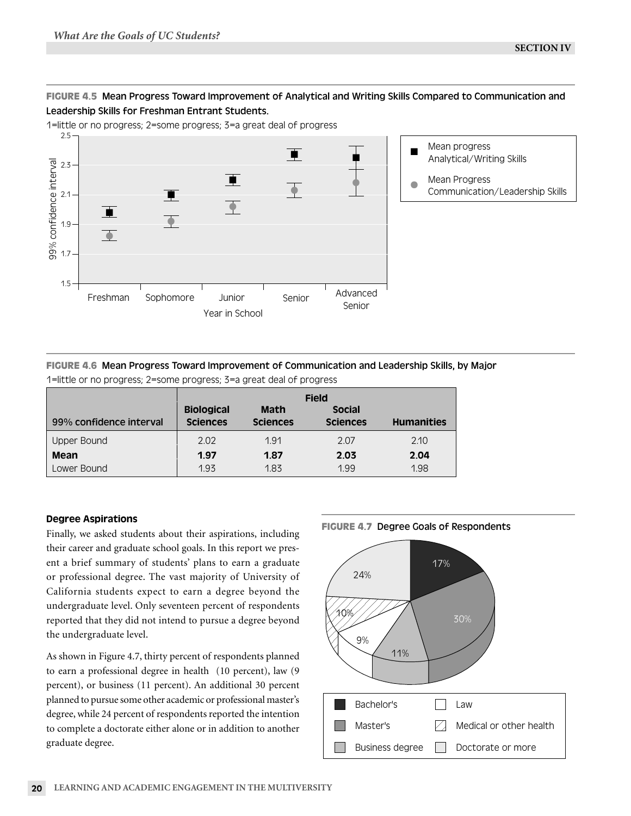# **FIGURE 4.5** Mean Progress Toward Improvement of Analytical and Writing Skills Compared to Communication and Leadership Skills for Freshman Entrant Students.

1=little or no progress; 2=some progress; 3=a great deal of progress



# **FIGURE 4.6** Mean Progress Toward Improvement of Communication and Leadership Skills, by Major

|                         | <b>Field</b>                         |                                |                                  |                   |  |  |  |  |  |
|-------------------------|--------------------------------------|--------------------------------|----------------------------------|-------------------|--|--|--|--|--|
| 99% confidence interval | <b>Biological</b><br><b>Sciences</b> | <b>Math</b><br><b>Sciences</b> | <b>Social</b><br><b>Sciences</b> | <b>Humanities</b> |  |  |  |  |  |
| Upper Bound             | 2.02                                 | 1.91                           | 2.07                             | 2.10              |  |  |  |  |  |
| Mean                    | 1.97                                 | 1.87                           | 2.03                             | 2.04              |  |  |  |  |  |
| Lower Bound             | 1.93                                 | 1.83                           | 1.99                             | 1.98              |  |  |  |  |  |

1=little or no progress; 2=some progress; 3=a great deal of progress

# Degree Aspirations

Finally, we asked students about their aspirations, including their career and graduate school goals. In this report we present a brief summary of students' plans to earn a graduate or professional degree. The vast majority of University of California students expect to earn a degree beyond the undergraduate level. Only seventeen percent of respondents reported that they did not intend to pursue a degree beyond the undergraduate level.

As shown in Figure 4.7, thirty percent of respondents planned to earn a professional degree in health (10 percent), law (9 percent), or business (11 percent). An additional 30 percent planned to pursue some other academic or professional master's degree, while 24 percent of respondents reported the intention to complete a doctorate either alone or in addition to another graduate degree.



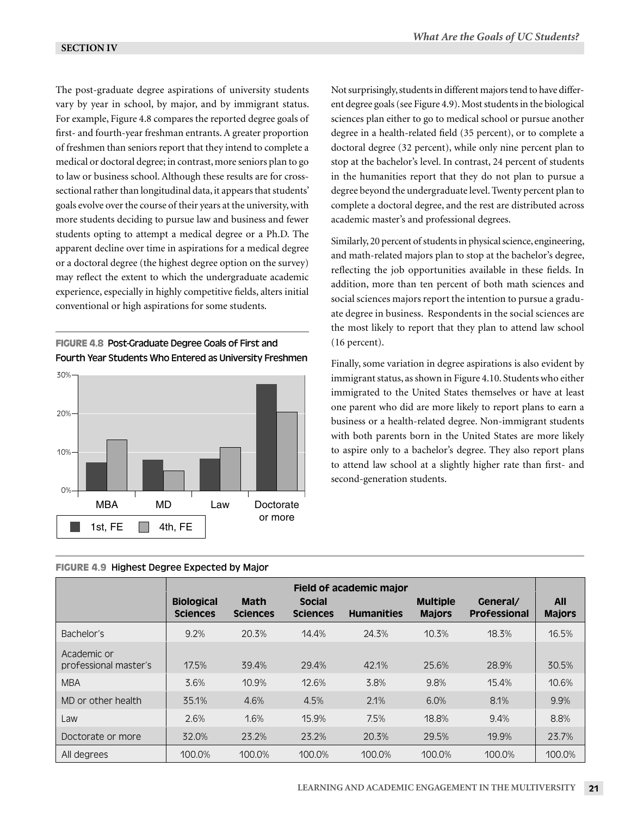The post-graduate degree aspirations of university students vary by year in school, by major, and by immigrant status. For example, Figure 4.8 compares the reported degree goals of first- and fourth-year freshman entrants. A greater proportion of freshmen than seniors report that they intend to complete a medical or doctoral degree; in contrast, more seniors plan to go to law or business school. Although these results are for crosssectional rather than longitudinal data, it appears that students' goals evolve over the course of their years at the university, with more students deciding to pursue law and business and fewer students opting to attempt a medical degree or a Ph.D. The apparent decline over time in aspirations for a medical degree or a doctoral degree (the highest degree option on the survey) may reflect the extent to which the undergraduate academic experience, especially in highly competitive fields, alters initial conventional or high aspirations for some students.

**FIGURE 4.8** Post-Graduate Degree Goals of First and Fourth Year Students Who Entered as University Freshmen



**FIGURE 4.9** Highest Degree Expected by Major

Not surprisingly, students in different majors tend to have different degree goals (see Figure 4.9). Most students in the biological sciences plan either to go to medical school or pursue another degree in a health-related field (35 percent), or to complete a doctoral degree (32 percent), while only nine percent plan to stop at the bachelor's level. In contrast, 24 percent of students in the humanities report that they do not plan to pursue a degree beyond the undergraduate level. Twenty percent plan to complete a doctoral degree, and the rest are distributed across academic master's and professional degrees.

Similarly, 20 percent of students in physical science, engineering, and math-related majors plan to stop at the bachelor's degree, reflecting the job opportunities available in these fields. In addition, more than ten percent of both math sciences and social sciences majors report the intention to pursue a graduate degree in business. Respondents in the social sciences are the most likely to report that they plan to attend law school (16 percent).

Finally, some variation in degree aspirations is also evident by immigrant status, as shown in Figure 4.10. Students who either immigrated to the United States themselves or have at least one parent who did are more likely to report plans to earn a business or a health-related degree. Non-immigrant students with both parents born in the United States are more likely to aspire only to a bachelor's degree. They also report plans to attend law school at a slightly higher rate than first- and second-generation students.

|                                      | Field of academic major              |                                |                                  |                   |                                  |                                 |                             |
|--------------------------------------|--------------------------------------|--------------------------------|----------------------------------|-------------------|----------------------------------|---------------------------------|-----------------------------|
|                                      | <b>Biological</b><br><b>Sciences</b> | <b>Math</b><br><b>Sciences</b> | <b>Social</b><br><b>Sciences</b> | <b>Humanities</b> | <b>Multiple</b><br><b>Majors</b> | General/<br><b>Professional</b> | <b>All</b><br><b>Majors</b> |
| Bachelor's                           | 9.2%                                 | 20.3%                          | 14.4%                            | 24.3%             | 10.3%                            | 18.3%                           | 16.5%                       |
| Academic or<br>professional master's | 17.5%                                | 39.4%                          | 29.4%                            | 42.1%             | 25.6%                            | 28.9%                           | 30.5%                       |
| <b>MBA</b>                           | 3.6%                                 | 10.9%                          | 12.6%                            | 3.8%              | 9.8%                             | 15.4%                           | 10.6%                       |
| MD or other health                   | 35.1%                                | 4.6%                           | 4.5%                             | 2.1%              | 6.0%                             | 8.1%                            | 9.9%                        |
| Law                                  | 2.6%                                 | 1.6%                           | 15.9%                            | 7.5%              | 18.8%                            | 9.4%                            | 8.8%                        |
| Doctorate or more                    | 32.0%                                | 23.2%                          | 23.2%                            | 20.3%             | 29.5%                            | 19.9%                           | 23.7%                       |
| All degrees                          | 100.0%                               | 100.0%                         | 100.0%                           | 100.0%            | 100.0%                           | 100.0%                          | 100.0%                      |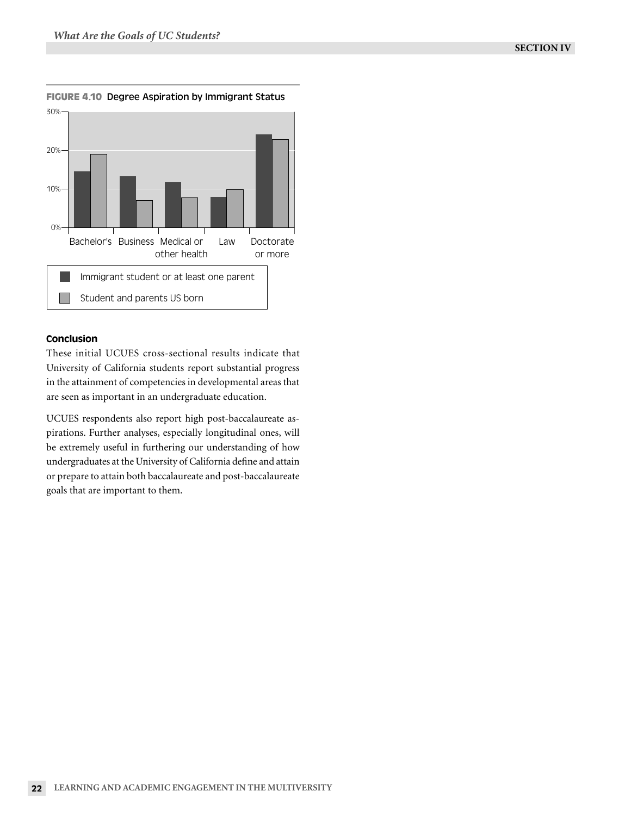

**FIGURE 4.10** Degree Aspiration by Immigrant Status

# Conclusion

These initial UCUES cross-sectional results indicate that University of California students report substantial progress in the attainment of competencies in developmental areas that are seen as important in an undergraduate education.

UCUES respondents also report high post-baccalaureate aspirations. Further analyses, especially longitudinal ones, will be extremely useful in furthering our understanding of how undergraduates at the University of California define and attain or prepare to attain both baccalaureate and post-baccalaureate goals that are important to them.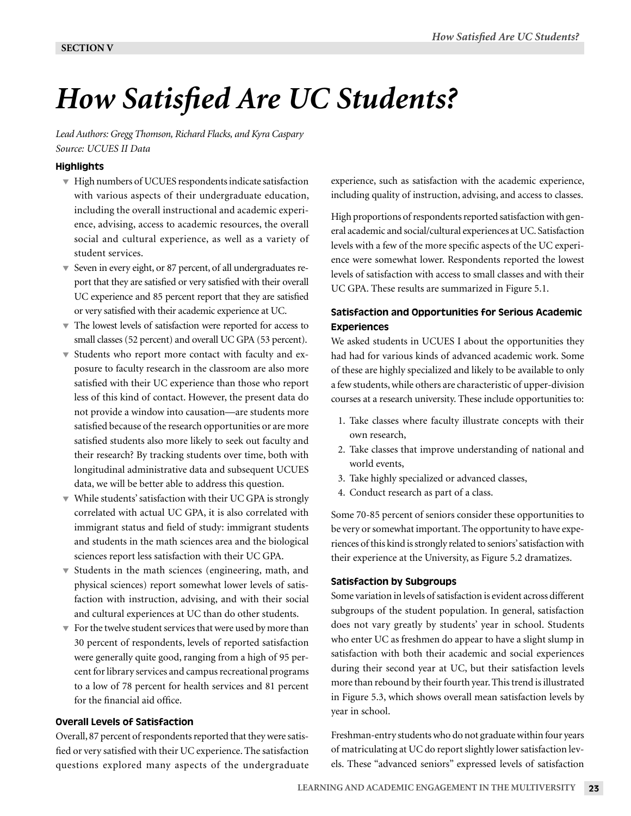# *How Satisfied Are UC Students?*

*Lead Authors: Gregg Thomson, Richard Flacks, and Kyra Caspary Source: UCUES II Data*

# **Highlights**

- $\blacktriangledown$  High numbers of UCUES respondents indicate satisfaction with various aspects of their undergraduate education, including the overall instructional and academic experience, advising, access to academic resources, the overall social and cultural experience, as well as a variety of student services.
- Seven in every eight, or 87 percent, of all undergraduates report that they are satisfied or very satisfied with their overall UC experience and 85 percent report that they are satisfied or very satisfied with their academic experience at UC.
- The lowest levels of satisfaction were reported for access to small classes (52 percent) and overall UC GPA (53 percent).
- Students who report more contact with faculty and exposure to faculty research in the classroom are also more satisfied with their UC experience than those who report less of this kind of contact. However, the present data do not provide a window into causation—are students more satisfied because of the research opportunities or are more satisfied students also more likely to seek out faculty and their research? By tracking students over time, both with longitudinal administrative data and subsequent UCUES data, we will be better able to address this question.
- While students' satisfaction with their UC GPA is strongly correlated with actual UC GPA, it is also correlated with immigrant status and field of study: immigrant students and students in the math sciences area and the biological sciences report less satisfaction with their UC GPA.
- $\blacktriangledown$  Students in the math sciences (engineering, math, and physical sciences) report somewhat lower levels of satisfaction with instruction, advising, and with their social and cultural experiences at UC than do other students.
- $\blacktriangledown$  For the twelve student services that were used by more than 30 percent of respondents, levels of reported satisfaction were generally quite good, ranging from a high of 95 percent for library services and campus recreational programs to a low of 78 percent for health services and 81 percent for the financial aid office.

# Overall Levels of Satisfaction

Overall, 87 percent of respondents reported that they were satisfied or very satisfied with their UC experience. The satisfaction questions explored many aspects of the undergraduate experience, such as satisfaction with the academic experience, including quality of instruction, advising, and access to classes.

High proportions of respondents reported satisfaction with general academic and social/cultural experiences at UC. Satisfaction levels with a few of the more specific aspects of the UC experience were somewhat lower. Respondents reported the lowest levels of satisfaction with access to small classes and with their UC GPA. These results are summarized in Figure 5.1.

# Satisfaction and Opportunities for Serious Academic **Experiences**

We asked students in UCUES I about the opportunities they had had for various kinds of advanced academic work. Some of these are highly specialized and likely to be available to only a few students, while others are characteristic of upper-division courses at a research university. These include opportunities to:

- 1. Take classes where faculty illustrate concepts with their own research,
- 2. Take classes that improve understanding of national and world events,
- 3. Take highly specialized or advanced classes,
- 4. Conduct research as part of a class.

Some 70-85 percent of seniors consider these opportunities to be very or somewhat important. The opportunity to have experiences of this kind is strongly related to seniors' satisfaction with their experience at the University, as Figure 5.2 dramatizes.

# Satisfaction by Subgroups

Some variation in levels of satisfaction is evident across different subgroups of the student population. In general, satisfaction does not vary greatly by students' year in school. Students who enter UC as freshmen do appear to have a slight slump in satisfaction with both their academic and social experiences during their second year at UC, but their satisfaction levels more than rebound by their fourth year. This trend is illustrated in Figure 5.3, which shows overall mean satisfaction levels by year in school.

Freshman-entry students who do not graduate within four years of matriculating at UC do report slightly lower satisfaction levels. These "advanced seniors" expressed levels of satisfaction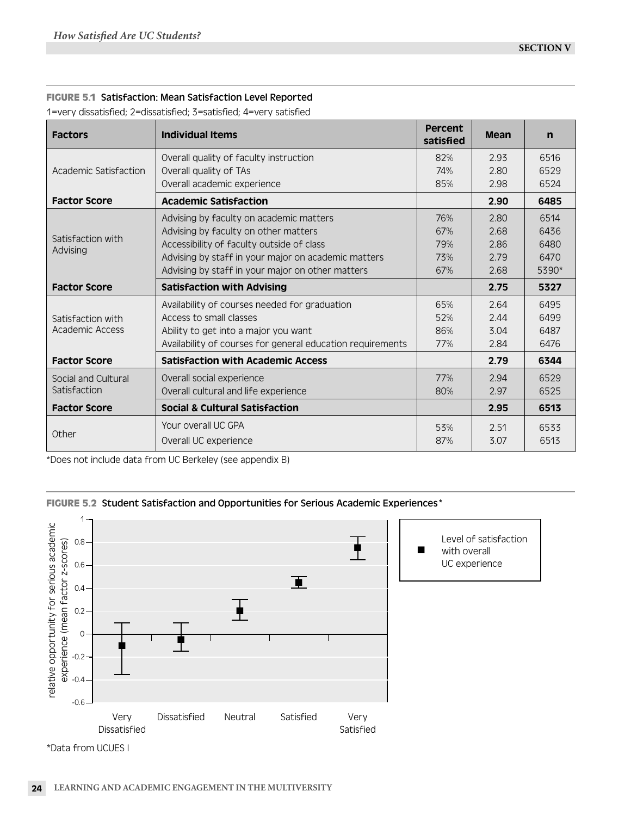# **FIGURE 5.1** Satisfaction: Mean Satisfaction Level Reported

1=very dissatisfied; 2=dissatisfied; 3=satisfied; 4=very satisfied

| <b>Factors</b>                | <b>Individual Items</b>                                    | Percent<br>satisfied | <b>Mean</b> | $\mathsf{n}$ |
|-------------------------------|------------------------------------------------------------|----------------------|-------------|--------------|
|                               | Overall quality of faculty instruction                     | 82%                  | 2.93        | 6516         |
| Academic Satisfaction         | Overall quality of TAs                                     | 74%                  | 2.80        | 6529         |
|                               | Overall academic experience                                | 85%                  | 2.98        | 6524         |
| <b>Factor Score</b>           | <b>Academic Satisfaction</b>                               |                      | 2.90        | 6485         |
|                               | Advising by faculty on academic matters                    | 76%                  | 2.80        | 6514         |
|                               | Advising by faculty on other matters                       | 67%                  | 2.68        | 6436         |
| Satisfaction with<br>Advising | Accessibility of faculty outside of class                  | 79%                  | 2.86        | 6480         |
|                               | Advising by staff in your major on academic matters        | 73%                  | 2.79        | 6470         |
|                               | Advising by staff in your major on other matters           | 67%                  | 2.68        | 5390*        |
| <b>Factor Score</b>           | <b>Satisfaction with Advising</b>                          |                      | 2.75        | 5327         |
|                               | Availability of courses needed for graduation              | 65%                  | 2.64        | 6495         |
| Satisfaction with             | Access to small classes                                    | 52%                  | 2.44        | 6499         |
| Academic Access               | Ability to get into a major you want                       | 86%                  | 3.04        | 6487         |
|                               | Availability of courses for general education requirements | 77%                  | 2.84        | 6476         |
| <b>Factor Score</b>           | <b>Satisfaction with Academic Access</b>                   |                      | 2.79        | 6344         |
| Social and Cultural           | Overall social experience                                  | 77%                  | 2.94        | 6529         |
| Satisfaction                  | Overall cultural and life experience                       | 80%                  | 2.97        | 6525         |
| <b>Factor Score</b>           | Social & Cultural Satisfaction                             |                      | 2.95        | 6513         |
|                               | Your overall UC GPA                                        | 53%                  | 2.51        | 6533         |
| Other                         | Overall UC experience                                      | 87%                  | 3.07        | 6513         |





<sup>\*</sup>Data from UCUES I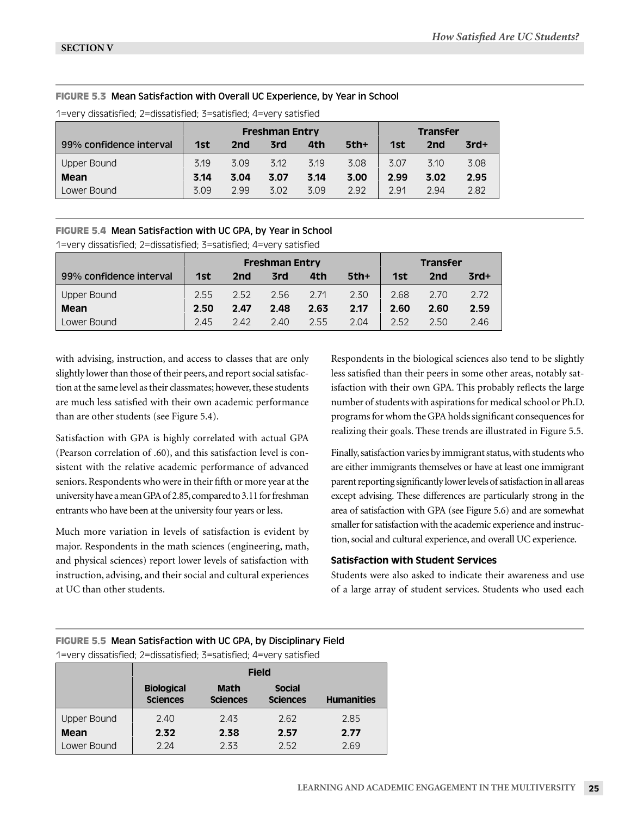# **FIGURE 5.3** Mean Satisfaction with Overall UC Experience, by Year in School

|                         | <b>Freshman Entry</b> |      |      |      |        |      | <b>Transfer</b> |        |
|-------------------------|-----------------------|------|------|------|--------|------|-----------------|--------|
| 99% confidence interval | 1st                   | 2nd  | 3rd  | 4th  | $5th+$ | 1st  | 2nd             | $3rd+$ |
| <b>Upper Bound</b>      | 3.19                  | 3.09 | 3.12 | 3.19 | 3.08   | 3.07 | 3.10            | 3.08   |
| Mean                    | 3.14                  | 3.04 | 3.07 | 3.14 | 3.00   | 2.99 | 3.02            | 2.95   |
| Lower Bound             | 3.09                  | 2.99 | 3.02 | 3.09 | 2.92   | 2.91 | 2.94            | 2.82   |

1=very dissatisfied; 2=dissatisfied; 3=satisfied; 4=very satisfied

# **FIGURE 5.4** Mean Satisfaction with UC GPA, by Year in School

1=very dissatisfied; 2=dissatisfied; 3=satisfied; 4=very satisfied

|                         | <b>Freshman Entry</b> |      |      |      |        |      | <b>Transfer</b> |        |
|-------------------------|-----------------------|------|------|------|--------|------|-----------------|--------|
| 99% confidence interval | 1st                   | 2nd  | 3rd  | 4th  | $5th+$ | 1st  | 2nd             | $3rd+$ |
| Upper Bound             | 2.55                  | 2.52 | 2.56 | 2.71 | 2.30   | 2.68 | 2.70            | 2.72   |
| Mean                    | 2.50                  | 2.47 | 2.48 | 2.63 | 2.17   | 2.60 | 2.60            | 2.59   |
| Lower Bound             | 2.45                  | 2.42 | 2.40 | 2.55 | 2.04   | 2.52 | 2.50            | 2.46   |

with advising, instruction, and access to classes that are only slightly lower than those of their peers, and report social satisfaction at the same level as their classmates; however, these students are much less satisfied with their own academic performance than are other students (see Figure 5.4).

Satisfaction with GPA is highly correlated with actual GPA (Pearson correlation of .60), and this satisfaction level is consistent with the relative academic performance of advanced seniors. Respondents who were in their fifth or more year at the university have a mean GPA of 2.85, compared to 3.11 for freshman entrants who have been at the university four years or less.

Much more variation in levels of satisfaction is evident by major. Respondents in the math sciences (engineering, math, and physical sciences) report lower levels of satisfaction with instruction, advising, and their social and cultural experiences at UC than other students.

Respondents in the biological sciences also tend to be slightly less satisfied than their peers in some other areas, notably satisfaction with their own GPA. This probably reflects the large number of students with aspirations for medical school or Ph.D. programs for whom the GPA holds significant consequences for realizing their goals. These trends are illustrated in Figure 5.5.

Finally, satisfaction varies by immigrant status, with students who are either immigrants themselves or have at least one immigrant parent reporting significantly lower levels of satisfaction in all areas except advising. These differences are particularly strong in the area of satisfaction with GPA (see Figure 5.6) and are somewhat smaller for satisfaction with the academic experience and instruction, social and cultural experience, and overall UC experience.

# Satisfaction with Student Services

Students were also asked to indicate their awareness and use of a large array of student services. Students who used each

# **FIGURE 5.5** Mean Satisfaction with UC GPA, by Disciplinary Field 1=very dissatisfied; 2=dissatisfied; 3=satisfied; 4=very satisfied

|                    | <b>Field</b>                         |                                |                                  |                   |  |  |  |  |
|--------------------|--------------------------------------|--------------------------------|----------------------------------|-------------------|--|--|--|--|
|                    | <b>Biological</b><br><b>Sciences</b> | <b>Math</b><br><b>Sciences</b> | <b>Social</b><br><b>Sciences</b> | <b>Humanities</b> |  |  |  |  |
| <b>Upper Bound</b> | 2.40                                 | 2.43                           | 2.62                             | 2.85              |  |  |  |  |
| Mean               | 2.32                                 | 2.38                           | 2.57                             | 2.77              |  |  |  |  |
| Lower Bound        | 2.24                                 | 2.33                           | 2.52                             | 2.69              |  |  |  |  |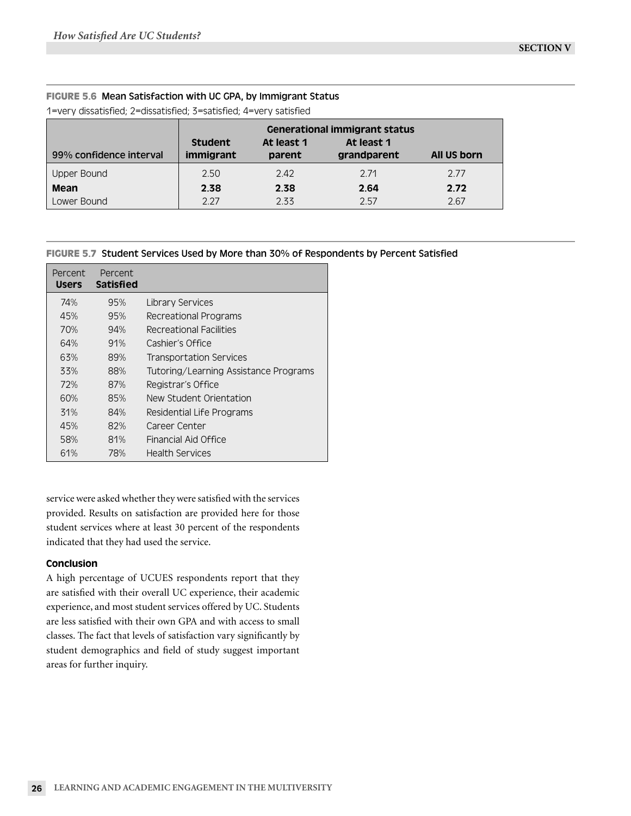# **FIGURE 5.6** Mean Satisfaction with UC GPA, by Immigrant Status

1=very dissatisfied; 2=dissatisfied; 3=satisfied; 4=very satisfied

|                         | <b>Generational immigrant status</b> |                      |                           |             |
|-------------------------|--------------------------------------|----------------------|---------------------------|-------------|
| 99% confidence interval | Student<br>immigrant                 | At least 1<br>parent | At least 1<br>grandparent | All US born |
| Upper Bound             | 2.50                                 | 2.42                 | 2.71                      | 2.77        |
| Mean                    | 2.38                                 | 2.38                 | 2.64                      | 2.72        |
| Lower Bound             | 2.27                                 | 2.33                 | 2.57                      | 2.67        |

# **FIGURE 5.7** Student Services Used by More than 30% of Respondents by Percent Satisfied

| Percent<br><b>Users</b> | Percent<br><b>Satisfied</b> |                                       |
|-------------------------|-----------------------------|---------------------------------------|
| 74%                     | 95%                         | Library Services                      |
| 45%                     | 95%                         | Recreational Programs                 |
| 70%                     | 94%                         | Recreational Facilities               |
| 64%                     | 91%                         | Cashier's Office                      |
| 63%                     | 89%                         | <b>Transportation Services</b>        |
| 33%                     | 88%                         | Tutoring/Learning Assistance Programs |
| 72%                     | 87%                         | Registrar's Office                    |
| 60%                     | 85%                         | New Student Orientation               |
| 31%                     | 84%                         | <b>Residential Life Programs</b>      |
| 45%                     | 82%                         | Career Center                         |
| 58%                     | 81%                         | Financial Aid Office                  |
| 61%                     | 78%                         | <b>Health Services</b>                |

service were asked whether they were satisfied with the services provided. Results on satisfaction are provided here for those student services where at least 30 percent of the respondents indicated that they had used the service.

# Conclusion

A high percentage of UCUES respondents report that they are satisfied with their overall UC experience, their academic experience, and most student services offered by UC. Students are less satisfied with their own GPA and with access to small classes. The fact that levels of satisfaction vary significantly by student demographics and field of study suggest important areas for further inquiry.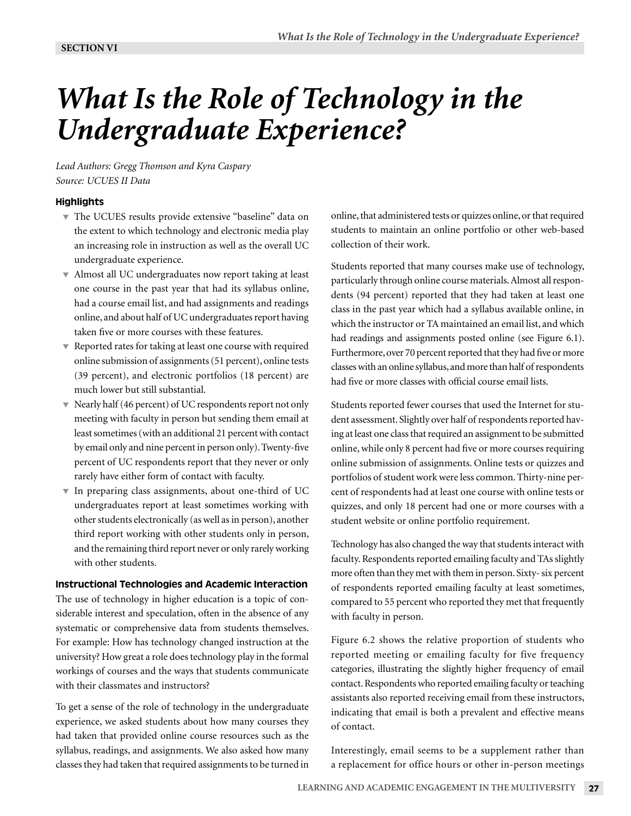# *What Is the Role of Technology in the Undergraduate Experience?*

*Lead Authors: Gregg Thomson and Kyra Caspary Source: UCUES II Data*

### **Highlights**

- The UCUES results provide extensive "baseline" data on the extent to which technology and electronic media play an increasing role in instruction as well as the overall UC undergraduate experience.
- Almost all UC undergraduates now report taking at least one course in the past year that had its syllabus online, had a course email list, and had assignments and readings online, and about half of UC undergraduates report having taken five or more courses with these features.
- $\blacktriangledown$  Reported rates for taking at least one course with required online submission of assignments (51 percent), online tests (39 percent), and electronic portfolios (18 percent) are much lower but still substantial.
- $\blacktriangledown$  Nearly half (46 percent) of UC respondents report not only meeting with faculty in person but sending them email at least sometimes (with an additional 21 percent with contact by email only and nine percent in person only). Twenty-five percent of UC respondents report that they never or only rarely have either form of contact with faculty.
- $\blacktriangledown$  In preparing class assignments, about one-third of UC undergraduates report at least sometimes working with other students electronically (as well as in person), another third report working with other students only in person, and the remaining third report never or only rarely working with other students.

#### Instructional Technologies and Academic Interaction

The use of technology in higher education is a topic of considerable interest and speculation, often in the absence of any systematic or comprehensive data from students themselves. For example: How has technology changed instruction at the university? How great a role does technology play in the formal workings of courses and the ways that students communicate with their classmates and instructors?

To get a sense of the role of technology in the undergraduate experience, we asked students about how many courses they had taken that provided online course resources such as the syllabus, readings, and assignments. We also asked how many classes they had taken that required assignments to be turned in

online, that administered tests or quizzes online, or that required students to maintain an online portfolio or other web-based collection of their work.

Students reported that many courses make use of technology, particularly through online course materials. Almost all respondents (94 percent) reported that they had taken at least one class in the past year which had a syllabus available online, in which the instructor or TA maintained an email list, and which had readings and assignments posted online (see Figure 6.1). Furthermore, over 70 percent reported that they had five or more classes with an online syllabus, and more than half of respondents had five or more classes with official course email lists.

Students reported fewer courses that used the Internet for student assessment. Slightly over half of respondents reported having at least one class that required an assignment to be submitted online, while only 8 percent had five or more courses requiring online submission of assignments. Online tests or quizzes and portfolios of student work were less common. Thirty-nine percent of respondents had at least one course with online tests or quizzes, and only 18 percent had one or more courses with a student website or online portfolio requirement.

Technology has also changed the way that students interact with faculty. Respondents reported emailing faculty and TAs slightly more often than they met with them in person. Sixty- six percent of respondents reported emailing faculty at least sometimes, compared to 55 percent who reported they met that frequently with faculty in person.

Figure 6.2 shows the relative proportion of students who reported meeting or emailing faculty for five frequency categories, illustrating the slightly higher frequency of email contact. Respondents who reported emailing faculty or teaching assistants also reported receiving email from these instructors, indicating that email is both a prevalent and effective means of contact.

Interestingly, email seems to be a supplement rather than a replacement for office hours or other in-person meetings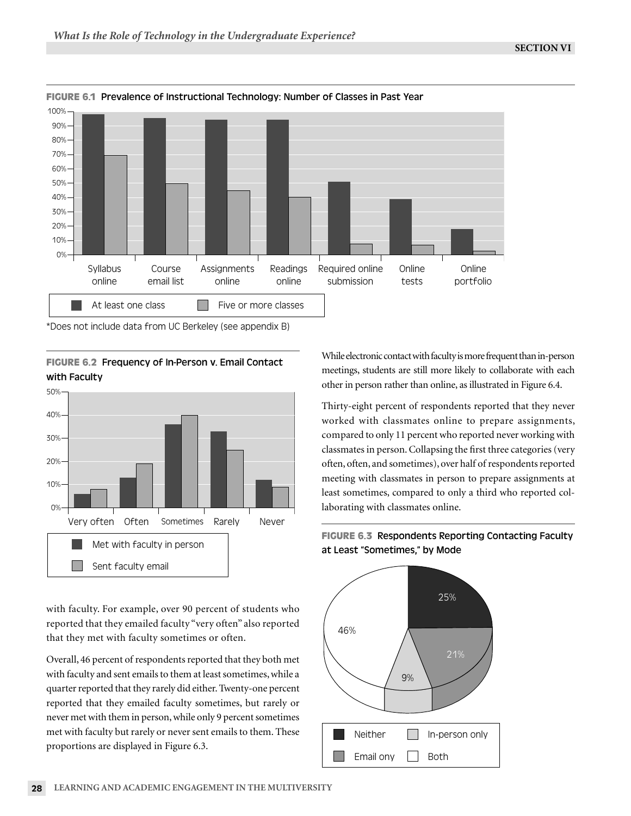

# **FIGURE 6.1** Prevalence of Instructional Technology: Number of Classes in Past Year

\*Does not include data from UC Berkeley (see appendix B)

**FIGURE 6.2** Frequency of In-Person v. Email Contact with Faculty



with faculty. For example, over 90 percent of students who reported that they emailed faculty "very often" also reported that they met with faculty sometimes or often.

Overall, 46 percent of respondents reported that they both met with faculty and sent emails to them at least sometimes, while a quarter reported that they rarely did either. Twenty-one percent reported that they emailed faculty sometimes, but rarely or never met with them in person, while only 9 percent sometimes met with faculty but rarely or never sent emails to them. These proportions are displayed in Figure 6.3.

While electronic contact with faculty is more frequent than in-person meetings, students are still more likely to collaborate with each other in person rather than online, as illustrated in Figure 6.4.

Thirty-eight percent of respondents reported that they never worked with classmates online to prepare assignments, compared to only 11 percent who reported never working with classmates in person. Collapsing the first three categories (very often, often, and sometimes), over half of respondents reported meeting with classmates in person to prepare assignments at least sometimes, compared to only a third who reported collaborating with classmates online.

# **FIGURE 6.3** Respondents Reporting Contacting Faculty at Least "Sometimes," by Mode

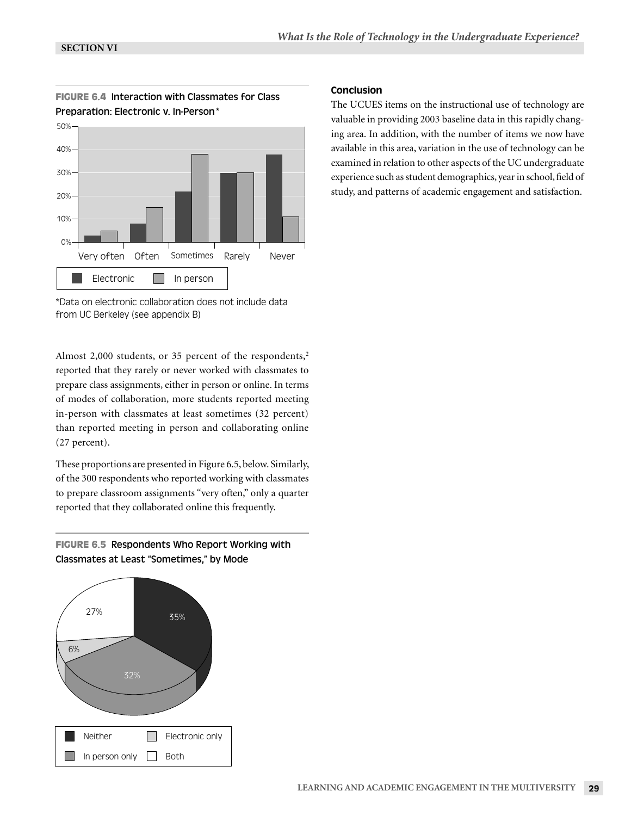



\*Data on electronic collaboration does not include data from UC Berkeley (see appendix B)

Almost 2,000 students, or 35 percent of the respondents,<sup>2</sup> reported that they rarely or never worked with classmates to prepare class assignments, either in person or online. In terms of modes of collaboration, more students reported meeting in-person with classmates at least sometimes (32 percent) than reported meeting in person and collaborating online (27 percent).

These proportions are presented in Figure 6.5, below. Similarly, of the 300 respondents who reported working with classmates to prepare classroom assignments "very often," only a quarter reported that they collaborated online this frequently.

# **FIGURE 6.5** Respondents Who Report Working with Classmates at Least "Sometimes," by Mode



# Conclusion

The UCUES items on the instructional use of technology are valuable in providing 2003 baseline data in this rapidly changing area. In addition, with the number of items we now have available in this area, variation in the use of technology can be examined in relation to other aspects of the UC undergraduate experience such as student demographics, year in school, field of study, and patterns of academic engagement and satisfaction.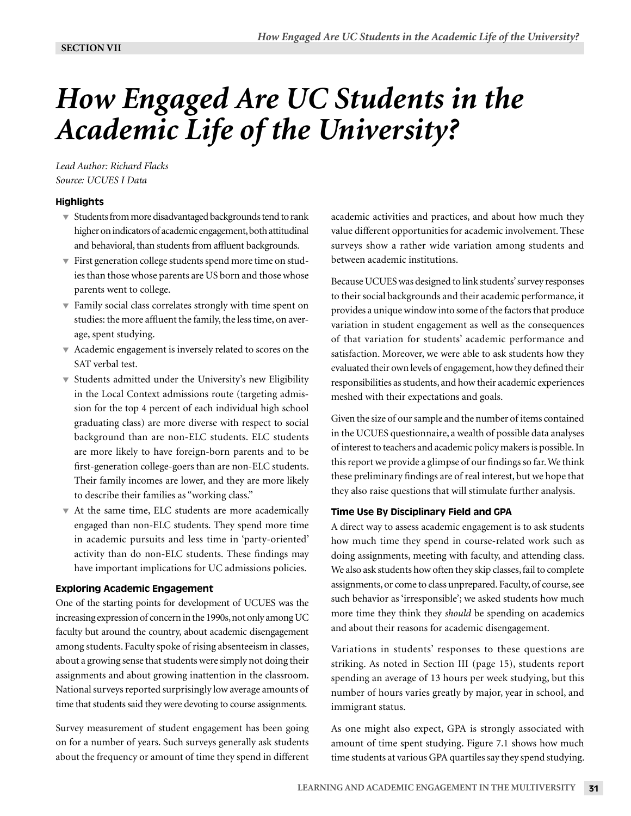# *How Engaged Are UC Students in the Academic Life of the University?*

*Lead Author: Richard Flacks Source: UCUES I Data*

# **Highlights**

- $\blacktriangledown$  Students from more disadvantaged backgrounds tend to rank higher on indicators of academic engagement, both attitudinal and behavioral, than students from affluent backgrounds.
- $\overline{\mathbf{v}}$  First generation college students spend more time on studies than those whose parents are US born and those whose parents went to college.
- $\blacktriangledown$  Family social class correlates strongly with time spent on studies: the more affluent the family, the less time, on average, spent studying.
- Academic engagement is inversely related to scores on the SAT verbal test.
- Students admitted under the University's new Eligibility in the Local Context admissions route (targeting admission for the top 4 percent of each individual high school graduating class) are more diverse with respect to social background than are non-ELC students. ELC students are more likely to have foreign-born parents and to be first-generation college-goers than are non-ELC students. Their family incomes are lower, and they are more likely to describe their families as "working class."
- At the same time, ELC students are more academically engaged than non-ELC students. They spend more time in academic pursuits and less time in 'party-oriented' activity than do non-ELC students. These findings may have important implications for UC admissions policies.

# Exploring Academic Engagement

One of the starting points for development of UCUES was the increasing expression of concern in the 1990s, not only among UC faculty but around the country, about academic disengagement among students. Faculty spoke of rising absenteeism in classes, about a growing sense that students were simply not doing their assignments and about growing inattention in the classroom. National surveys reported surprisingly low average amounts of time that students said they were devoting to course assignments.

Survey measurement of student engagement has been going on for a number of years. Such surveys generally ask students about the frequency or amount of time they spend in different academic activities and practices, and about how much they value different opportunities for academic involvement. These surveys show a rather wide variation among students and between academic institutions.

Because UCUES was designed to link students' survey responses to their social backgrounds and their academic performance, it provides a unique window into some of the factors that produce variation in student engagement as well as the consequences of that variation for students' academic performance and satisfaction. Moreover, we were able to ask students how they evaluated their own levels of engagement, how they defined their responsibilities as students, and how their academic experiences meshed with their expectations and goals.

Given the size of our sample and the number of items contained in the UCUES questionnaire, a wealth of possible data analyses of interest to teachers and academic policy makers is possible. In this report we provide a glimpse of our findings so far. We think these preliminary findings are of real interest, but we hope that they also raise questions that will stimulate further analysis.

# Time Use By Disciplinary Field and GPA

A direct way to assess academic engagement is to ask students how much time they spend in course-related work such as doing assignments, meeting with faculty, and attending class. We also ask students how often they skip classes, fail to complete assignments, or come to class unprepared. Faculty, of course, see such behavior as 'irresponsible'; we asked students how much more time they think they *should* be spending on academics and about their reasons for academic disengagement.

Variations in students' responses to these questions are striking. As noted in Section III (page 15), students report spending an average of 13 hours per week studying, but this number of hours varies greatly by major, year in school, and immigrant status.

As one might also expect, GPA is strongly associated with amount of time spent studying. Figure 7.1 shows how much time students at various GPA quartiles say they spend studying.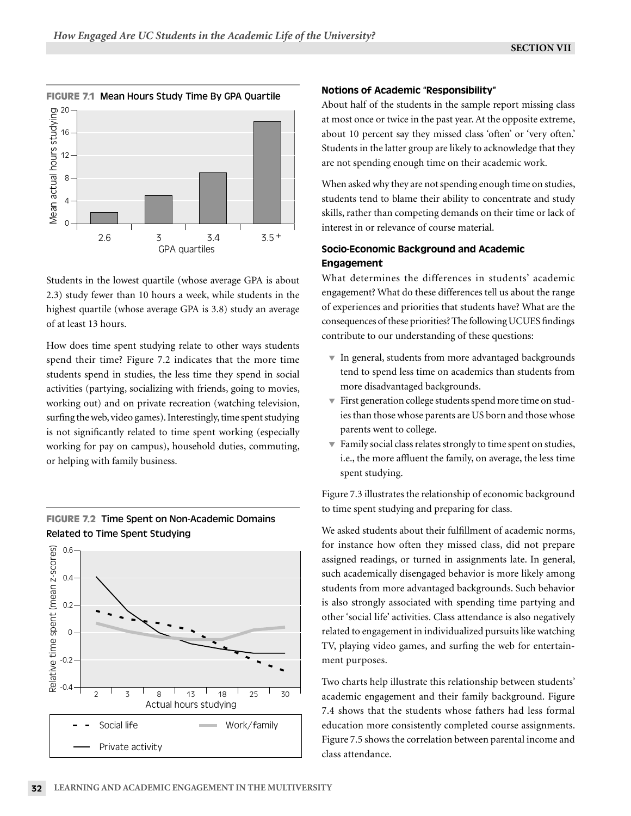

Students in the lowest quartile (whose average GPA is about 2.3) study fewer than 10 hours a week, while students in the highest quartile (whose average GPA is 3.8) study an average of at least 13 hours.

How does time spent studying relate to other ways students spend their time? Figure 7.2 indicates that the more time students spend in studies, the less time they spend in social activities (partying, socializing with friends, going to movies, working out) and on private recreation (watching television, surfing the web, video games). Interestingly, time spent studying is not significantly related to time spent working (especially working for pay on campus), household duties, commuting, or helping with family business.



# **FIGURE 7.2** Time Spent on Non-Academic Domains Related to Time Spent Studying

#### Notions of Academic "Responsibility"

About half of the students in the sample report missing class at most once or twice in the past year. At the opposite extreme, about 10 percent say they missed class 'often' or 'very often.' Students in the latter group are likely to acknowledge that they are not spending enough time on their academic work.

When asked why they are not spending enough time on studies, students tend to blame their ability to concentrate and study skills, rather than competing demands on their time or lack of interest in or relevance of course material.

# Socio-Economic Background and Academic **Engagement**

What determines the differences in students' academic engagement? What do these differences tell us about the range of experiences and priorities that students have? What are the consequences of these priorities? The following UCUES findings contribute to our understanding of these questions:

- $\blacktriangledown$  In general, students from more advantaged backgrounds tend to spend less time on academics than students from more disadvantaged backgrounds.
- $\overline{\phantom{a}}$  First generation college students spend more time on studies than those whose parents are US born and those whose parents went to college.
- $\blacktriangledown$  Family social class relates strongly to time spent on studies, i.e., the more affluent the family, on average, the less time spent studying.

Figure 7.3 illustrates the relationship of economic background to time spent studying and preparing for class.

We asked students about their fulfillment of academic norms, for instance how often they missed class, did not prepare assigned readings, or turned in assignments late. In general, such academically disengaged behavior is more likely among students from more advantaged backgrounds. Such behavior is also strongly associated with spending time partying and other 'social life' activities. Class attendance is also negatively related to engagement in individualized pursuits like watching TV, playing video games, and surfing the web for entertainment purposes.

Two charts help illustrate this relationship between students' academic engagement and their family background. Figure 7.4 shows that the students whose fathers had less formal education more consistently completed course assignments. Figure 7.5 shows the correlation between parental income and class attendance.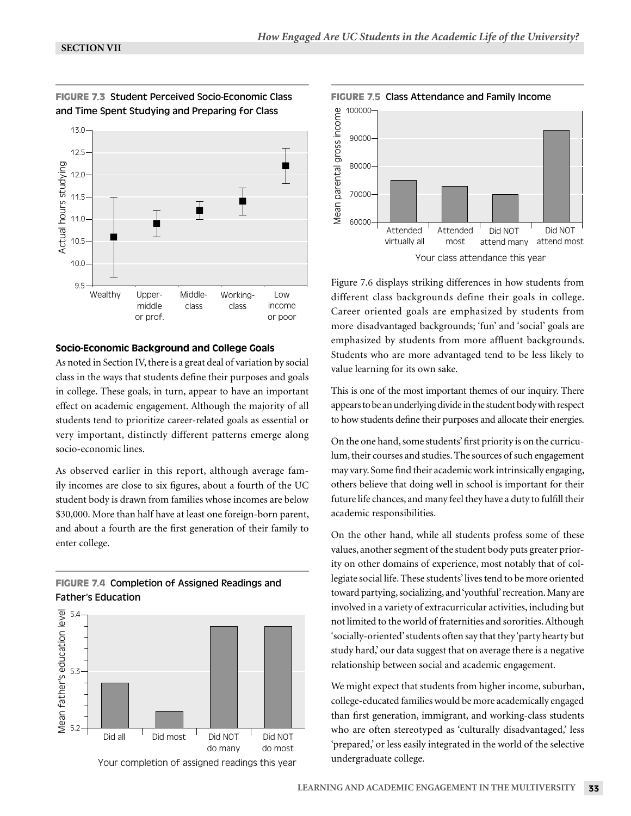

**FIGURE 7.3** Student Perceived Socio-Economic Class and Time Spent Studying and Preparing for Class

#### Socio-Economic Background and College Goals

As noted in Section IV, there is a great deal of variation by social class in the ways that students define their purposes and goals in college. These goals, in turn, appear to have an important effect on academic engagement. Although the majority of all students tend to prioritize career-related goals as essential or very important, distinctly different patterns emerge along socio-economic lines.

As observed earlier in this report, although average family incomes are close to six figures, about a fourth of the UC student body is drawn from families whose incomes are below \$30,000. More than half have at least one foreign-born parent, and about a fourth are the first generation of their family to enter college.

# **FIGURE 7.4** Completion of Assigned Readings and Father's Education



Your completion of assigned readings this year



Figure 7.6 displays striking differences in how students from different class backgrounds define their goals in college. Career oriented goals are emphasized by students from more disadvantaged backgrounds; 'fun' and 'social' goals are emphasized by students from more affluent backgrounds. Students who are more advantaged tend to be less likely to value learning for its own sake.

This is one of the most important themes of our inquiry. There appears to be an underlying divide in the student body with respect to how students define their purposes and allocate their energies.

On the one hand, some students' first priority is on the curriculum, their courses and studies. The sources of such engagement may vary. Some find their academic work intrinsically engaging, others believe that doing well in school is important for their future life chances, and many feel they have a duty to fulfill their academic responsibilities.

On the other hand, while all students profess some of these values, another segment of the student body puts greater priority on other domains of experience, most notably that of collegiate social life. These students' lives tend to be more oriented toward partying, socializing, and 'youthful' recreation. Many are involved in a variety of extracurricular activities, including but not limited to the world of fraternities and sororities. Although 'socially-oriented' students often say that they 'party hearty but study hard,' our data suggest that on average there is a negative relationship between social and academic engagement.

We might expect that students from higher income, suburban, college-educated families would be more academically engaged than first generation, immigrant, and working-class students who are often stereotyped as 'culturally disadvantaged,' less 'prepared,' or less easily integrated in the world of the selective undergraduate college.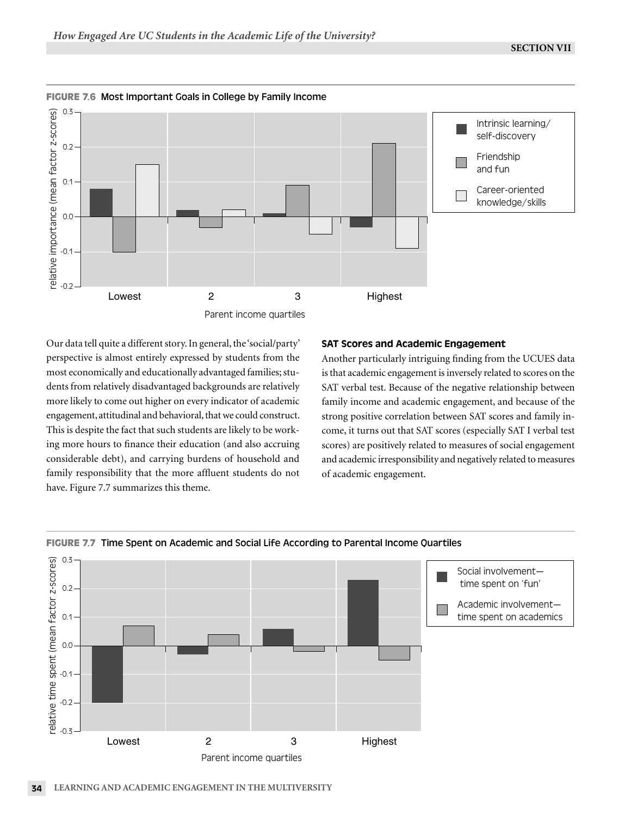

Our data tell quite a different story. In general, the 'social/party' perspective is almost entirely expressed by students from the most economically and educationally advantaged families; students from relatively disadvantaged backgrounds are relatively more likely to come out higher on every indicator of academic engagement, attitudinal and behavioral, that we could construct. This is despite the fact that such students are likely to be working more hours to finance their education (and also accruing considerable debt), and carrying burdens of household and family responsibility that the more affluent students do not have. Figure 7.7 summarizes this theme.

# SAT Scores and Academic Engagement

Another particularly intriguing finding from the UCUES data is that academic engagement is inversely related to scores on the SAT verbal test. Because of the negative relationship between family income and academic engagement, and because of the strong positive correlation between SAT scores and family income, it turns out that SAT scores (especially SAT I verbal test scores) are positively related to measures of social engagement and academic irresponsibility and negatively related to measures of academic engagement.



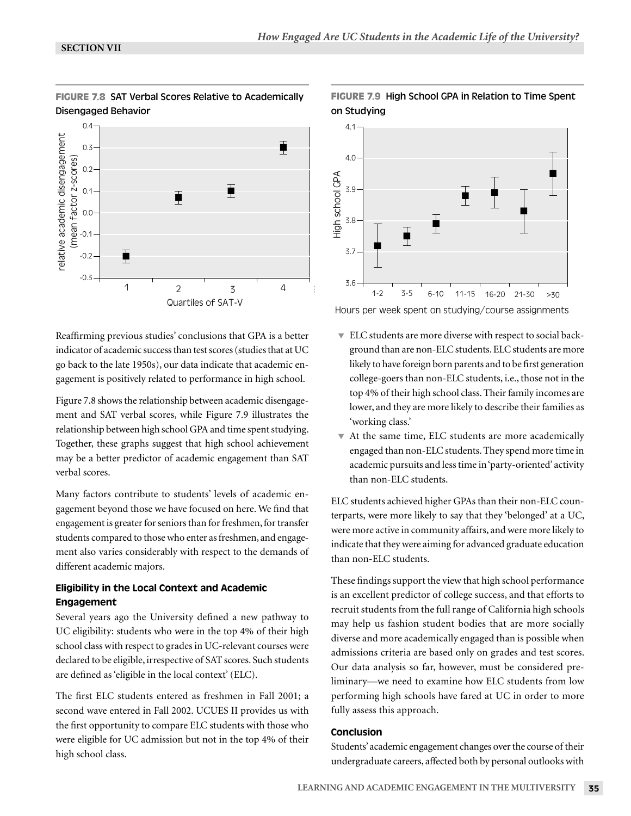

 $\overline{\mathbf{F}}$ 

B

Reaffirming previous studies' conclusions that GPA is a better indicator of academic success than test scores (studies that at UC go back to the late 1950s), our data indicate that academic engagement is positively related to performance in high school. Quartiles of SAT-V

1 2 3 4

1 2 3 4

B

-0.3

-0.2

-0.1

0.0

relative academic disengagement (mean factor z-scores)

relative academic disengagement (mean factor z-scores)

0.1

0.2

0.3

0.4

Figure 7.8 shows the relationship between academic disengagement and SAT verbal scores, while Figure 7.9 illustrates the relationship between high school GPA and time spent studying. Together, these graphs suggest that high school achievement may be a better predictor of academic engagement than SAT verbal scores.

Many factors contribute to students' levels of academic engagement beyond those we have focused on here. We find that engagement is greater for seniors than for freshmen, for transfer students compared to those who enter as freshmen, and engagement also varies considerably with respect to the demands of different academic majors.

# Eligibility in the Local Context and Academic Engagement

Several years ago the University defined a new pathway to UC eligibility: students who were in the top 4% of their high school class with respect to grades in UC-relevant courses were declared to be eligible, irrespective of SAT scores. Such students are defined as 'eligible in the local context' (ELC).

The first ELC students entered as freshmen in Fall 2001; a second wave entered in Fall 2002. UCUES II provides us with the first opportunity to compare ELC students with those who were eligible for UC admission but not in the top 4% of their high school class.



# **FIGURE 7.9** High School GPA in Relation to Time Spent on Studying

3.6 0.5 1.5 2.5 3.5 4.5 5.5 6.5 7.5 1-2 3-5 6-10 11-15 16-20 21-30 >30

Hours per week spent on studying/course assignments

- ELC students are more diverse with respect to social background than are non-ELC students. ELC students are more likely to have foreign born parents and to be first generation college-goers than non-ELC students, i.e., those not in the top 4% of their high school class. Their family incomes are lower, and they are more likely to describe their families as 'working class.'
- At the same time, ELC students are more academically engaged than non-ELC students. They spend more time in academic pursuits and less time in 'party-oriented' activity than non-ELC students.

ELC students achieved higher GPAs than their non-ELC counterparts, were more likely to say that they 'belonged' at a UC, were more active in community affairs, and were more likely to indicate that they were aiming for advanced graduate education than non-ELC students.

These findings support the view that high school performance is an excellent predictor of college success, and that efforts to recruit students from the full range of California high schools may help us fashion student bodies that are more socially diverse and more academically engaged than is possible when admissions criteria are based only on grades and test scores. Our data analysis so far, however, must be considered preliminary—we need to examine how ELC students from low performing high schools have fared at UC in order to more fully assess this approach.

# Conclusion

Students' academic engagement changes over the course of their undergraduate careers, affected both by personal outlooks with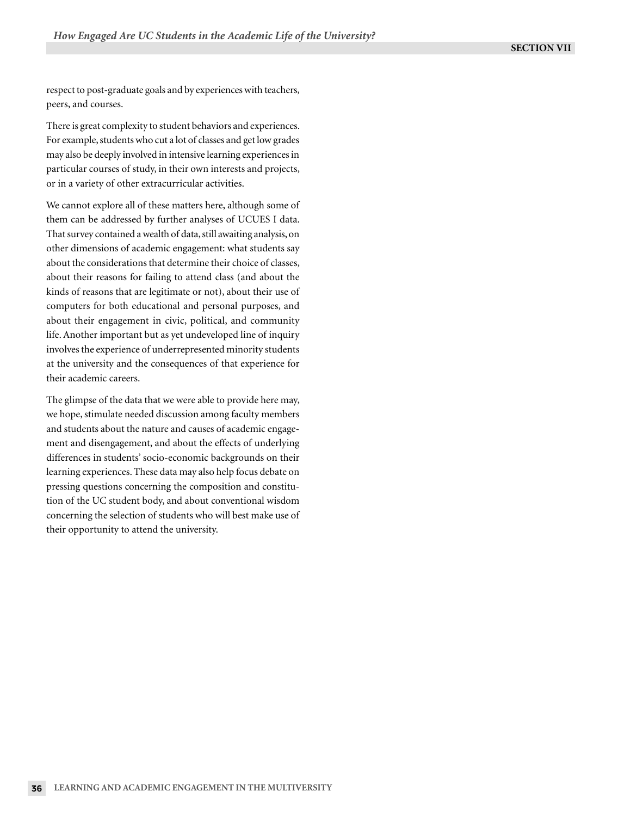respect to post-graduate goals and by experiences with teachers, peers, and courses.

There is great complexity to student behaviors and experiences. For example, students who cut a lot of classes and get low grades may also be deeply involved in intensive learning experiences in particular courses of study, in their own interests and projects, or in a variety of other extracurricular activities.

We cannot explore all of these matters here, although some of them can be addressed by further analyses of UCUES I data. That survey contained a wealth of data, still awaiting analysis, on other dimensions of academic engagement: what students say about the considerations that determine their choice of classes, about their reasons for failing to attend class (and about the kinds of reasons that are legitimate or not), about their use of computers for both educational and personal purposes, and about their engagement in civic, political, and community life. Another important but as yet undeveloped line of inquiry involves the experience of underrepresented minority students at the university and the consequences of that experience for their academic careers.

The glimpse of the data that we were able to provide here may, we hope, stimulate needed discussion among faculty members and students about the nature and causes of academic engagement and disengagement, and about the effects of underlying differences in students' socio-economic backgrounds on their learning experiences. These data may also help focus debate on pressing questions concerning the composition and constitution of the UC student body, and about conventional wisdom concerning the selection of students who will best make use of their opportunity to attend the university.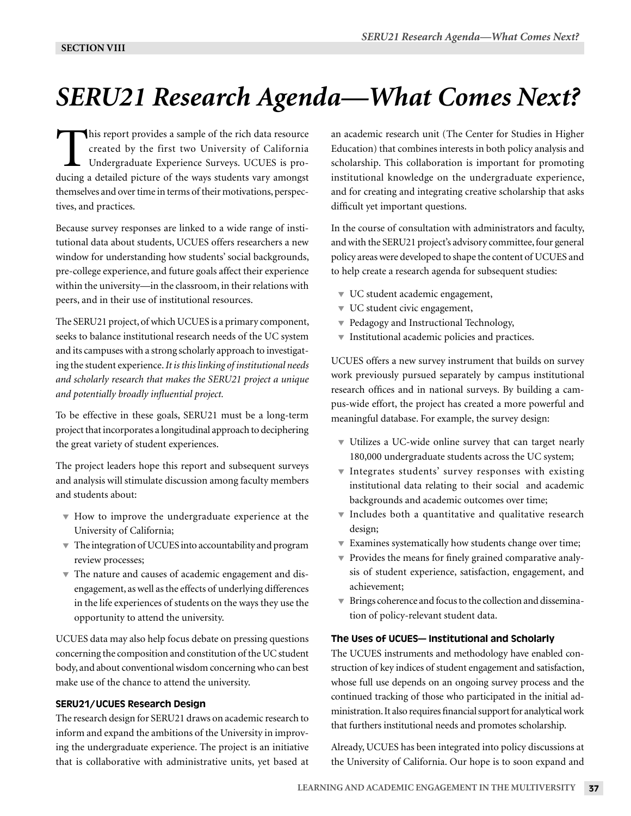# *SERU21 Research Agenda—What Comes Next?*

This report provides a sample of the rich data resource created by the first two University of California Undergraduate Experience Surveys. UCUES is producing a detailed picture of the ways students vary amongst themselves and over time in terms of their motivations, perspectives, and practices.

Because survey responses are linked to a wide range of institutional data about students, UCUES offers researchers a new window for understanding how students' social backgrounds, pre-college experience, and future goals affect their experience within the university—in the classroom, in their relations with peers, and in their use of institutional resources.

The SERU21 project, of which UCUES is a primary component, seeks to balance institutional research needs of the UC system and its campuses with a strong scholarly approach to investigating the student experience. *It is this linking of institutional needs and scholarly research that makes the SERU21 project a unique and potentially broadly influential project.*

To be effective in these goals, SERU21 must be a long-term project that incorporates a longitudinal approach to deciphering the great variety of student experiences.

The project leaders hope this report and subsequent surveys and analysis will stimulate discussion among faculty members and students about:

- $\blacktriangledown$  How to improve the undergraduate experience at the University of California;
- $\blacktriangledown$  The integration of UCUES into accountability and program review processes;
- $\blacktriangledown$  The nature and causes of academic engagement and disengagement, as well as the effects of underlying differences in the life experiences of students on the ways they use the opportunity to attend the university.

UCUES data may also help focus debate on pressing questions concerning the composition and constitution of the UC student body, and about conventional wisdom concerning who can best make use of the chance to attend the university.

# SERU21/UCUES Research Design

The research design for SERU21 draws on academic research to inform and expand the ambitions of the University in improving the undergraduate experience. The project is an initiative that is collaborative with administrative units, yet based at

an academic research unit (The Center for Studies in Higher Education) that combines interests in both policy analysis and scholarship. This collaboration is important for promoting institutional knowledge on the undergraduate experience, and for creating and integrating creative scholarship that asks difficult yet important questions.

In the course of consultation with administrators and faculty, and with the SERU21 project's advisory committee, four general policy areas were developed to shape the content of UCUES and to help create a research agenda for subsequent studies:

- $\blacktriangledown$  UC student academic engagement,
- UC student civic engagement,
- $\blacktriangledown$  Pedagogy and Instructional Technology,
- $\blacktriangledown$  Institutional academic policies and practices.

UCUES offers a new survey instrument that builds on survey work previously pursued separately by campus institutional research offices and in national surveys. By building a campus-wide effort, the project has created a more powerful and meaningful database. For example, the survey design:

- Utilizes a UC-wide online survey that can target nearly 180,000 undergraduate students across the UC system;
- Integrates students' survey responses with existing institutional data relating to their social and academic backgrounds and academic outcomes over time;
- Includes both a quantitative and qualitative research design;
- Examines systematically how students change over time;
- $\blacktriangledown$  Provides the means for finely grained comparative analysis of student experience, satisfaction, engagement, and achievement;
- $\blacktriangledown$  Brings coherence and focus to the collection and dissemination of policy-relevant student data.

# The Uses of UCUES— Institutional and Scholarly

The UCUES instruments and methodology have enabled construction of key indices of student engagement and satisfaction, whose full use depends on an ongoing survey process and the continued tracking of those who participated in the initial administration. It also requires financial support for analytical work that furthers institutional needs and promotes scholarship.

Already, UCUES has been integrated into policy discussions at the University of California. Our hope is to soon expand and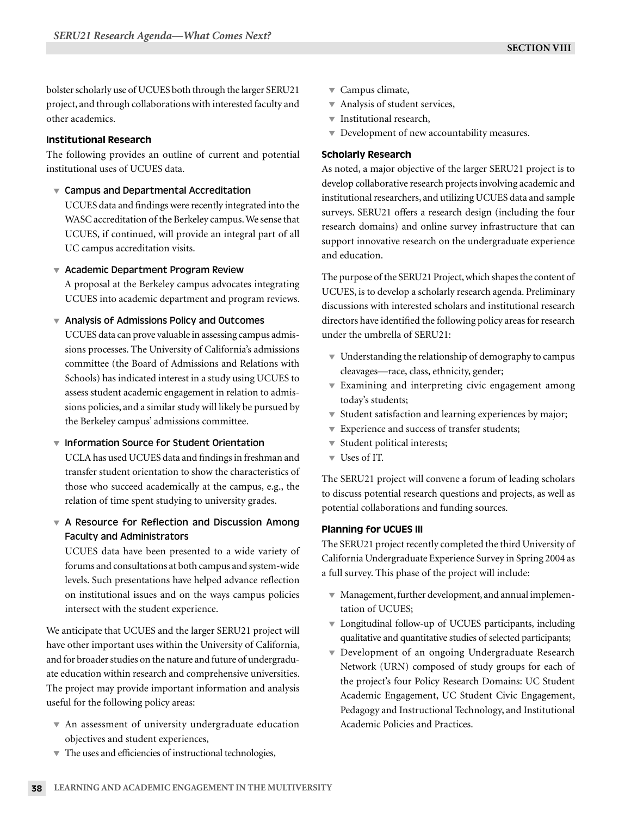bolster scholarly use of UCUES both through the larger SERU21 project, and through collaborations with interested faculty and other academics.

### Institutional Research

The following provides an outline of current and potential institutional uses of UCUES data.

Campus and Departmental Accreditation

 UCUES data and findings were recently integrated into the WASC accreditation of the Berkeley campus. We sense that UCUES, if continued, will provide an integral part of all UC campus accreditation visits.

▼ Academic Department Program Review

 A proposal at the Berkeley campus advocates integrating UCUES into academic department and program reviews.

#### $\blacktriangledown$  Analysis of Admissions Policy and Outcomes

 UCUES data can prove valuable in assessing campus admissions processes. The University of California's admissions committee (the Board of Admissions and Relations with Schools) has indicated interest in a study using UCUES to assess student academic engagement in relation to admissions policies, and a similar study will likely be pursued by the Berkeley campus' admissions committee.

### $\blacktriangledown$  Information Source for Student Orientation

 UCLA has used UCUES data and findings in freshman and transfer student orientation to show the characteristics of those who succeed academically at the campus, e.g., the relation of time spent studying to university grades.

# ▼ A Resource for Reflection and Discussion Among Faculty and Administrators

 UCUES data have been presented to a wide variety of forums and consultations at both campus and system-wide levels. Such presentations have helped advance reflection on institutional issues and on the ways campus policies intersect with the student experience.

We anticipate that UCUES and the larger SERU21 project will have other important uses within the University of California, and for broader studies on the nature and future of undergraduate education within research and comprehensive universities. The project may provide important information and analysis useful for the following policy areas:

 An assessment of university undergraduate education objectives and student experiences,

- Campus climate,
- $\blacktriangledown$  Analysis of student services,
- $\blacktriangledown$  Institutional research,
- $\blacktriangledown$  Development of new accountability measures.

#### Scholarly Research

As noted, a major objective of the larger SERU21 project is to develop collaborative research projects involving academic and institutional researchers, and utilizing UCUES data and sample surveys. SERU21 offers a research design (including the four research domains) and online survey infrastructure that can support innovative research on the undergraduate experience and education.

The purpose of the SERU21 Project, which shapes the content of UCUES, is to develop a scholarly research agenda. Preliminary discussions with interested scholars and institutional research directors have identified the following policy areas for research under the umbrella of SERU21:

- $\blacktriangledown$  Understanding the relationship of demography to campus cleavages—race, class, ethnicity, gender;
- Examining and interpreting civic engagement among today's students;
- $\blacktriangledown$  Student satisfaction and learning experiences by major;
- **Experience and success of transfer students;**
- Student political interests;
- $\overline{\phantom{a}}$  Uses of IT.

The SERU21 project will convene a forum of leading scholars to discuss potential research questions and projects, as well as potential collaborations and funding sources.

#### Planning for UCUES III

The SERU21 project recently completed the third University of California Undergraduate Experience Survey in Spring 2004 as a full survey. This phase of the project will include:

- Management, further development, and annual implementation of UCUES;
- Longitudinal follow-up of UCUES participants, including qualitative and quantitative studies of selected participants;
- Development of an ongoing Undergraduate Research Network (URN) composed of study groups for each of the project's four Policy Research Domains: UC Student Academic Engagement, UC Student Civic Engagement, Pedagogy and Instructional Technology, and Institutional Academic Policies and Practices.
- $\blacktriangledown$  The uses and efficiencies of instructional technologies,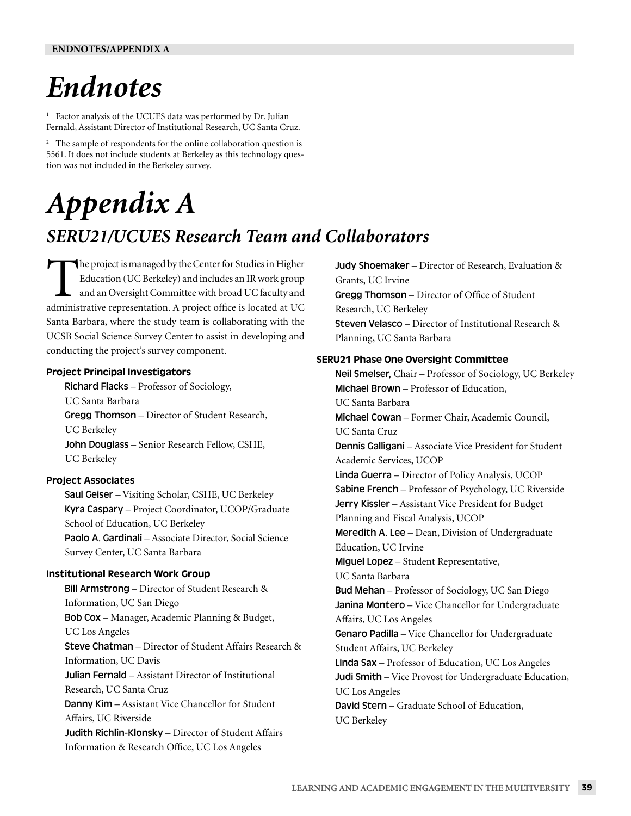# *Endnotes*

<sup>1</sup> Factor analysis of the UCUES data was performed by Dr. Julian Fernald, Assistant Director of Institutional Research, UC Santa Cruz.

<sup>2</sup> The sample of respondents for the online collaboration question is 5561. It does not include students at Berkeley as this technology question was not included in the Berkeley survey.

# *Appendix A*

# *SERU21/UCUES Research Team and Collaborators*

The project is managed by the Center for Studies in Higher Education (UC Berkeley) and includes an IR work group and an Oversight Committee with broad UC faculty and administrative representation. A project office is located at UC Santa Barbara, where the study team is collaborating with the UCSB Social Science Survey Center to assist in developing and conducting the project's survey component.

# Project Principal Investigators

 Richard Flacks – Professor of Sociology, UC Santa Barbara Gregg Thomson – Director of Student Research, UC Berkeley John Douglass – Senior Research Fellow, CSHE, UC Berkeley

# Project Associates

 Saul Geiser – Visiting Scholar, CSHE, UC Berkeley Kyra Caspary – Project Coordinator, UCOP/Graduate School of Education, UC Berkeley Paolo A. Gardinali – Associate Director, Social Science Survey Center, UC Santa Barbara

# Institutional Research Work Group

 Bill Armstrong – Director of Student Research & Information, UC San Diego Bob Cox – Manager, Academic Planning & Budget, UC Los Angeles Steve Chatman – Director of Student Affairs Research & Information, UC Davis Julian Fernald – Assistant Director of Institutional Research, UC Santa Cruz Danny Kim – Assistant Vice Chancellor for Student Affairs, UC Riverside Judith Richlin-Klonsky – Director of Student Affairs Information & Research Office, UC Los Angeles

 Judy Shoemaker – Director of Research, Evaluation & Grants, UC Irvine Gregg Thomson – Director of Office of Student Research, UC Berkeley Steven Velasco – Director of Institutional Research & Planning, UC Santa Barbara

# SERU21 Phase One Oversight Committee

 Neil Smelser, Chair – Professor of Sociology, UC Berkeley Michael Brown – Professor of Education, UC Santa Barbara Michael Cowan – Former Chair, Academic Council, UC Santa Cruz Dennis Galligani – Associate Vice President for Student Academic Services, UCOP Linda Guerra – Director of Policy Analysis, UCOP Sabine French - Professor of Psychology, UC Riverside Jerry Kissler – Assistant Vice President for Budget Planning and Fiscal Analysis, UCOP Meredith A. Lee - Dean, Division of Undergraduate Education, UC Irvine Miguel Lopez – Student Representative, UC Santa Barbara Bud Mehan – Professor of Sociology, UC San Diego Janina Montero - Vice Chancellor for Undergraduate Affairs, UC Los Angeles Genaro Padilla – Vice Chancellor for Undergraduate Student Affairs, UC Berkeley Linda Sax – Professor of Education, UC Los Angeles Judi Smith – Vice Provost for Undergraduate Education, UC Los Angeles David Stern – Graduate School of Education, UC Berkeley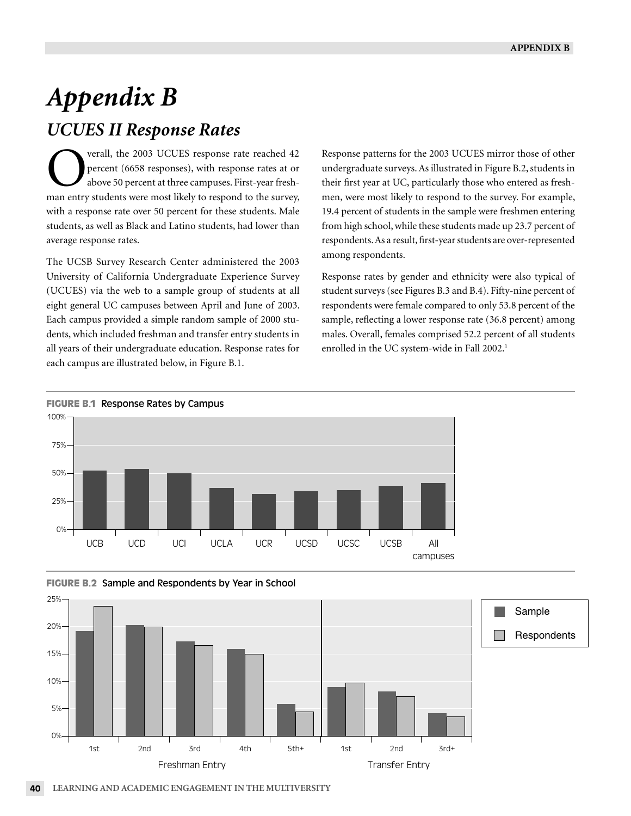# *Appendix B UCUES II Response Rates*

verall, the 2003 UCUES response rate reached 42 percent (6658 responses), with response rates at or above 50 percent at three campuses. First-year freshman entry students were most likely to respond to the survey, with a response rate over 50 percent for these students. Male students, as well as Black and Latino students, had lower than average response rates.

The UCSB Survey Research Center administered the 2003 University of California Undergraduate Experience Survey (UCUES) via the web to a sample group of students at all eight general UC campuses between April and June of 2003. Each campus provided a simple random sample of 2000 students, which included freshman and transfer entry students in all years of their undergraduate education. Response rates for each campus are illustrated below, in Figure B.1.

Response patterns for the 2003 UCUES mirror those of other undergraduate surveys. As illustrated in Figure B.2, students in their first year at UC, particularly those who entered as freshmen, were most likely to respond to the survey. For example, 19.4 percent of students in the sample were freshmen entering from high school, while these students made up 23.7 percent of respondents. As a result, first-year students are over-represented among respondents.

Response rates by gender and ethnicity were also typical of student surveys (see Figures B.3 and B.4). Fifty-nine percent of respondents were female compared to only 53.8 percent of the sample, reflecting a lower response rate (36.8 percent) among males. Overall, females comprised 52.2 percent of all students enrolled in the UC system-wide in Fall 2002.<sup>1</sup>







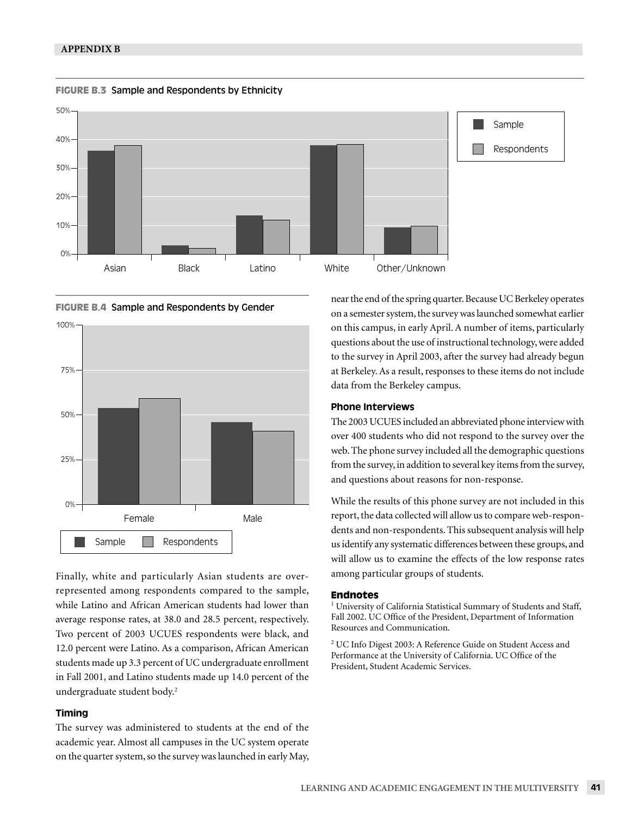







Finally, white and particularly Asian students are overrepresented among respondents compared to the sample, while Latino and African American students had lower than average response rates, at 38.0 and 28.5 percent, respectively. Two percent of 2003 UCUES respondents were black, and 12.0 percent were Latino. As a comparison, African American students made up 3.3 percent of UC undergraduate enrollment in Fall 2001, and Latino students made up 14.0 percent of the undergraduate student body.2

### Timing

The survey was administered to students at the end of the academic year. Almost all campuses in the UC system operate on the quarter system, so the survey was launched in early May, near the end of the spring quarter. Because UC Berkeley operates on a semester system, the survey was launched somewhat earlier on this campus, in early April. A number of items, particularly questions about the use of instructional technology, were added to the survey in April 2003, after the survey had already begun at Berkeley. As a result, responses to these items do not include data from the Berkeley campus.

### Phone Interviews

The 2003 UCUES included an abbreviated phone interview with over 400 students who did not respond to the survey over the web. The phone survey included all the demographic questions from the survey, in addition to several key items from the survey, and questions about reasons for non-response.

While the results of this phone survey are not included in this report, the data collected will allow us to compare web-respondents and non-respondents. This subsequent analysis will help us identify any systematic differences between these groups, and will allow us to examine the effects of the low response rates among particular groups of students.

#### **Endnotes**

<sup>1</sup> University of California Statistical Summary of Students and Staff, Fall 2002. UC Office of the President, Department of Information Resources and Communication.

2 UC Info Digest 2003: A Reference Guide on Student Access and Performance at the University of California. UC Office of the President, Student Academic Services.